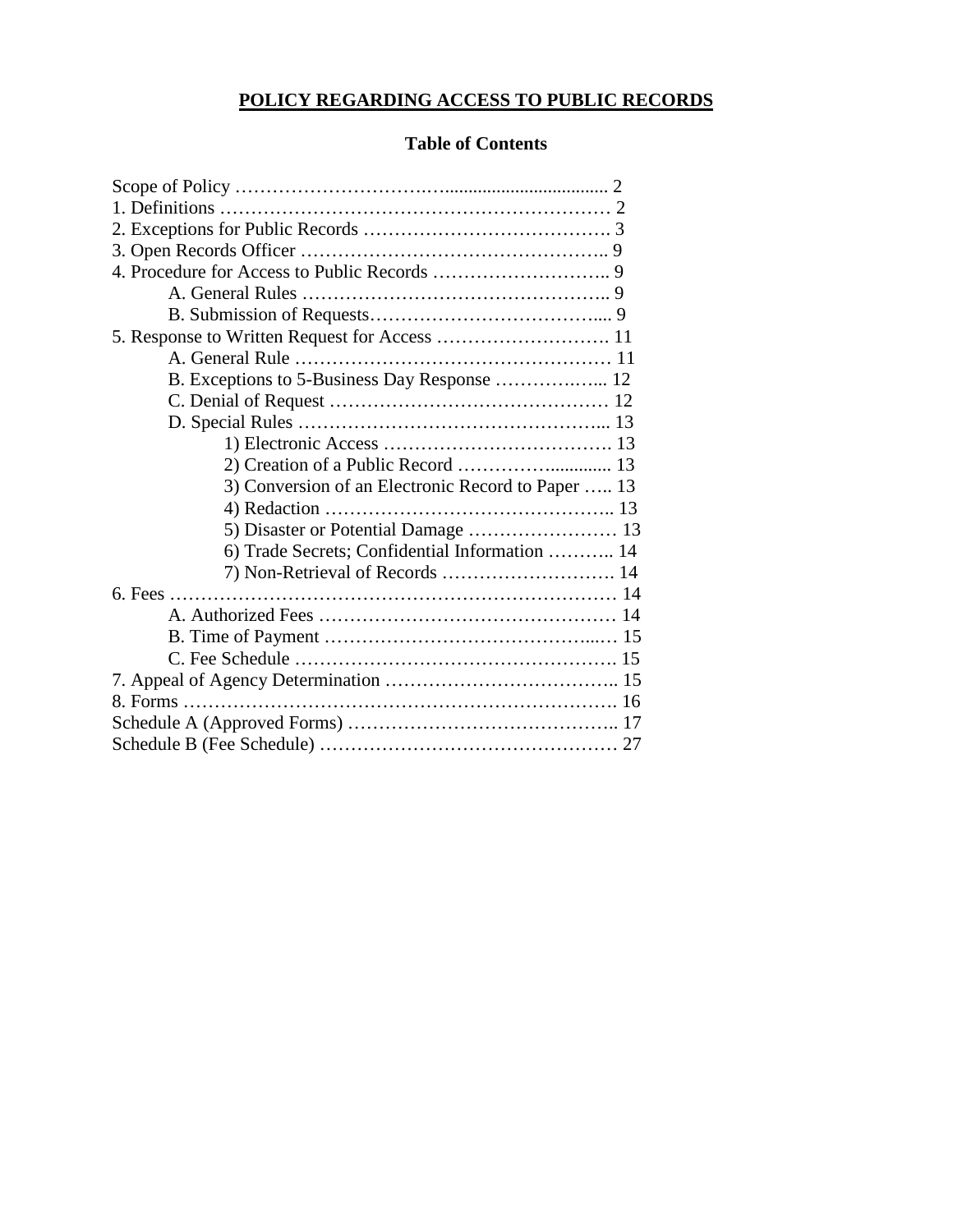# **POLICY REGARDING ACCESS TO PUBLIC RECORDS**

# **Table of Contents**

| B. Exceptions to 5-Business Day Response  12       |  |
|----------------------------------------------------|--|
|                                                    |  |
|                                                    |  |
|                                                    |  |
| 2) Creation of a Public Record  13                 |  |
| 3) Conversion of an Electronic Record to Paper  13 |  |
|                                                    |  |
|                                                    |  |
| 6) Trade Secrets; Confidential Information  14     |  |
|                                                    |  |
|                                                    |  |
|                                                    |  |
|                                                    |  |
|                                                    |  |
|                                                    |  |
|                                                    |  |
|                                                    |  |
|                                                    |  |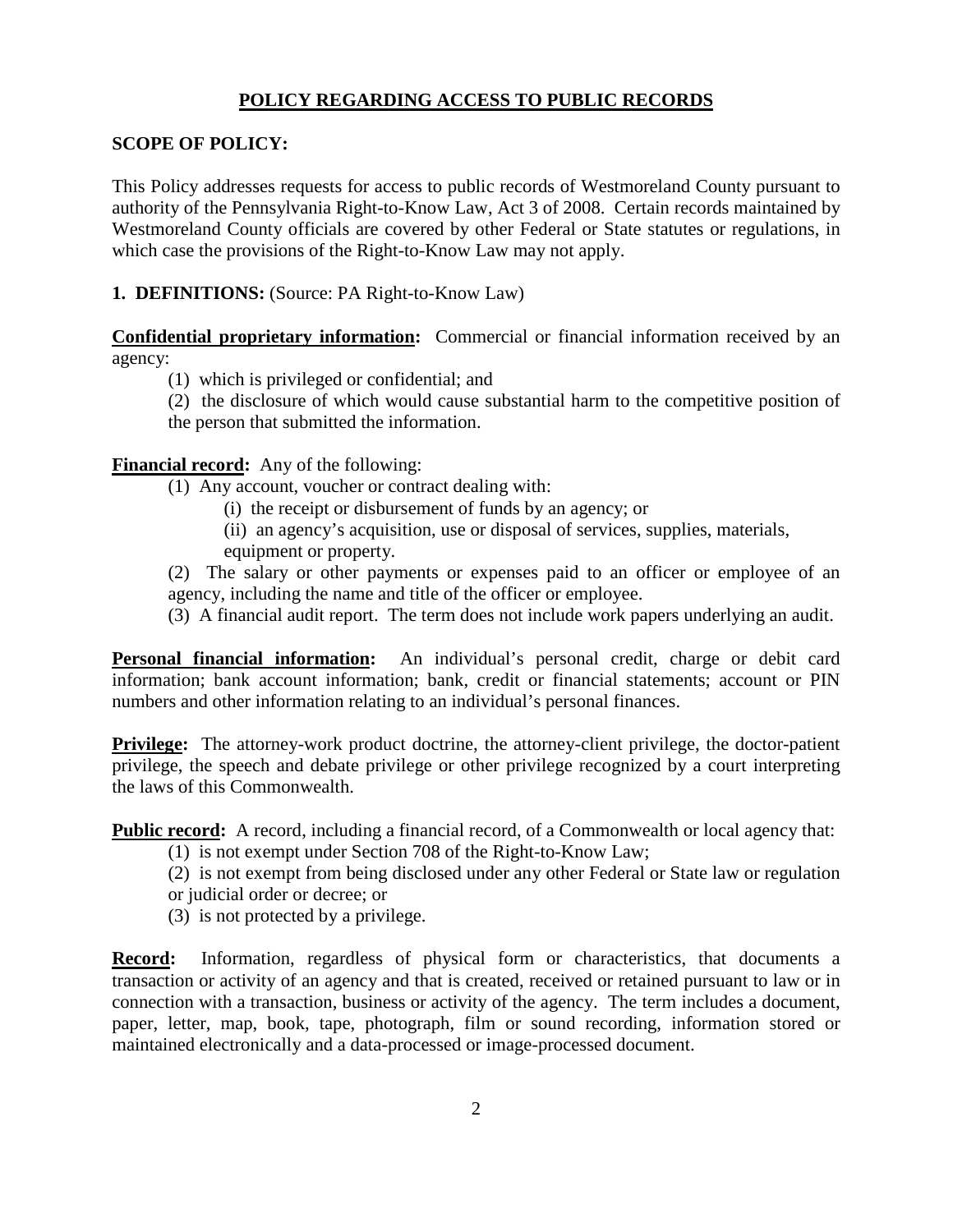#### **POLICY REGARDING ACCESS TO PUBLIC RECORDS**

#### **SCOPE OF POLICY:**

This Policy addresses requests for access to public records of Westmoreland County pursuant to authority of the Pennsylvania Right-to-Know Law, Act 3 of 2008. Certain records maintained by Westmoreland County officials are covered by other Federal or State statutes or regulations, in which case the provisions of the Right-to-Know Law may not apply.

### **1. DEFINITIONS:** (Source: PA Right-to-Know Law)

**Confidential proprietary information:** Commercial or financial information received by an agency:

(1) which is privileged or confidential; and

(2) the disclosure of which would cause substantial harm to the competitive position of the person that submitted the information.

#### **Financial record:** Any of the following:

(1) Any account, voucher or contract dealing with:

- (i) the receipt or disbursement of funds by an agency; or
- (ii) an agency's acquisition, use or disposal of services, supplies, materials, equipment or property.

(2) The salary or other payments or expenses paid to an officer or employee of an agency, including the name and title of the officer or employee.

(3) A financial audit report. The term does not include work papers underlying an audit.

**Personal financial information:** An individual's personal credit, charge or debit card information; bank account information; bank, credit or financial statements; account or PIN numbers and other information relating to an individual's personal finances.

**Privilege:** The attorney-work product doctrine, the attorney-client privilege, the doctor-patient privilege, the speech and debate privilege or other privilege recognized by a court interpreting the laws of this Commonwealth.

**Public record:** A record, including a financial record, of a Commonwealth or local agency that:

- (1) is not exempt under Section 708 of the Right-to-Know Law;
- (2) is not exempt from being disclosed under any other Federal or State law or regulation or judicial order or decree; or
- (3) is not protected by a privilege.

**Record:** Information, regardless of physical form or characteristics, that documents a transaction or activity of an agency and that is created, received or retained pursuant to law or in connection with a transaction, business or activity of the agency. The term includes a document, paper, letter, map, book, tape, photograph, film or sound recording, information stored or maintained electronically and a data-processed or image-processed document.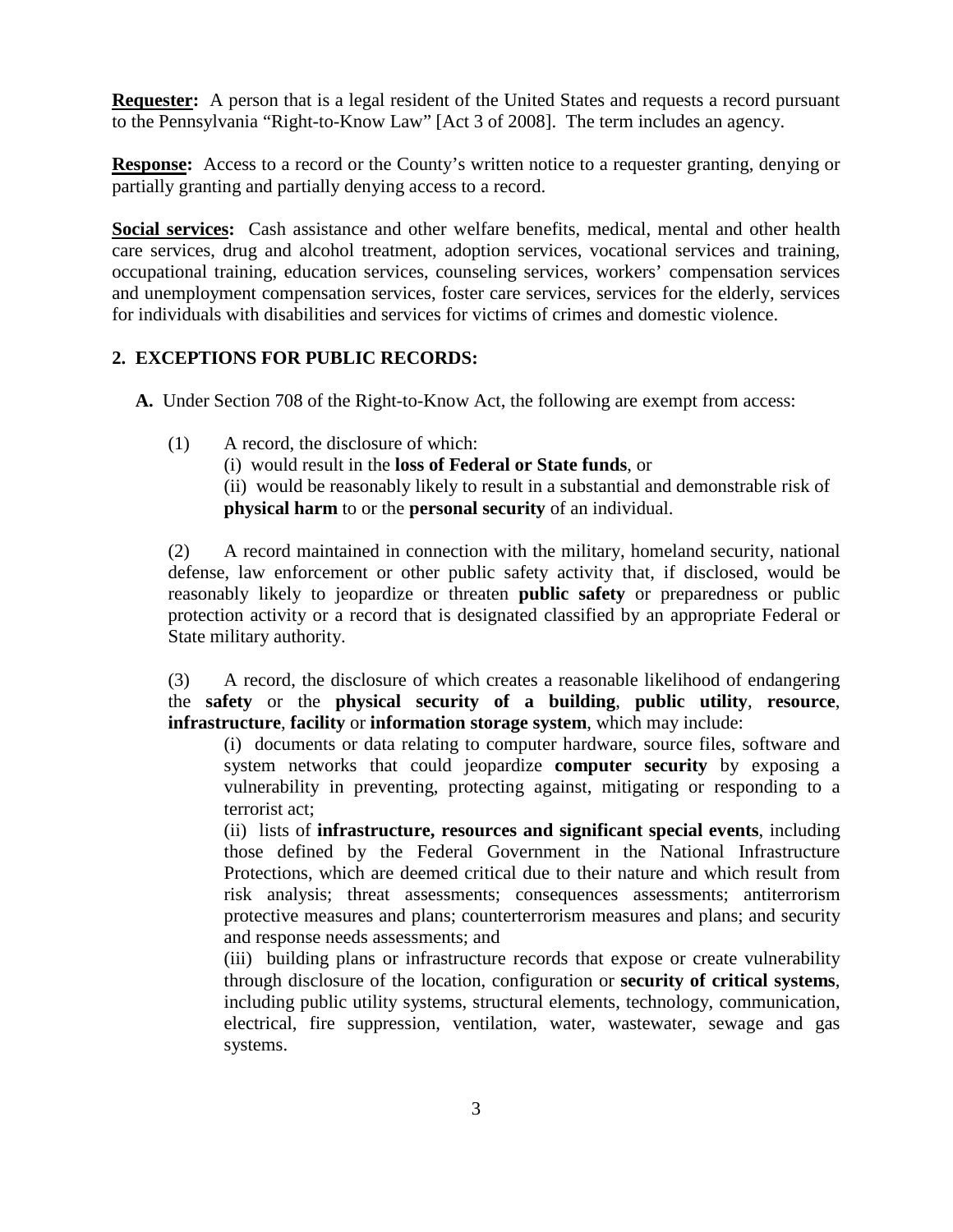**Requester:** A person that is a legal resident of the United States and requests a record pursuant to the Pennsylvania "Right-to-Know Law" [Act 3 of 2008]. The term includes an agency.

**Response:** Access to a record or the County's written notice to a requester granting, denying or partially granting and partially denying access to a record.

**Social services:** Cash assistance and other welfare benefits, medical, mental and other health care services, drug and alcohol treatment, adoption services, vocational services and training, occupational training, education services, counseling services, workers' compensation services and unemployment compensation services, foster care services, services for the elderly, services for individuals with disabilities and services for victims of crimes and domestic violence.

## **2. EXCEPTIONS FOR PUBLIC RECORDS:**

**A.** Under Section 708 of the Right-to-Know Act, the following are exempt from access:

(1) A record, the disclosure of which: (i) would result in the **loss of Federal or State funds**, or (ii) would be reasonably likely to result in a substantial and demonstrable risk of **physical harm** to or the **personal security** of an individual.

(2) A record maintained in connection with the military, homeland security, national defense, law enforcement or other public safety activity that, if disclosed, would be reasonably likely to jeopardize or threaten **public safety** or preparedness or public protection activity or a record that is designated classified by an appropriate Federal or State military authority.

(3) A record, the disclosure of which creates a reasonable likelihood of endangering the **safety** or the **physical security of a building**, **public utility**, **resource**, **infrastructure**, **facility** or **information storage system**, which may include:

(i) documents or data relating to computer hardware, source files, software and system networks that could jeopardize **computer security** by exposing a vulnerability in preventing, protecting against, mitigating or responding to a terrorist act;

(ii) lists of **infrastructure, resources and significant special events**, including those defined by the Federal Government in the National Infrastructure Protections, which are deemed critical due to their nature and which result from risk analysis; threat assessments; consequences assessments; antiterrorism protective measures and plans; counterterrorism measures and plans; and security and response needs assessments; and

(iii) building plans or infrastructure records that expose or create vulnerability through disclosure of the location, configuration or **security of critical systems**, including public utility systems, structural elements, technology, communication, electrical, fire suppression, ventilation, water, wastewater, sewage and gas systems.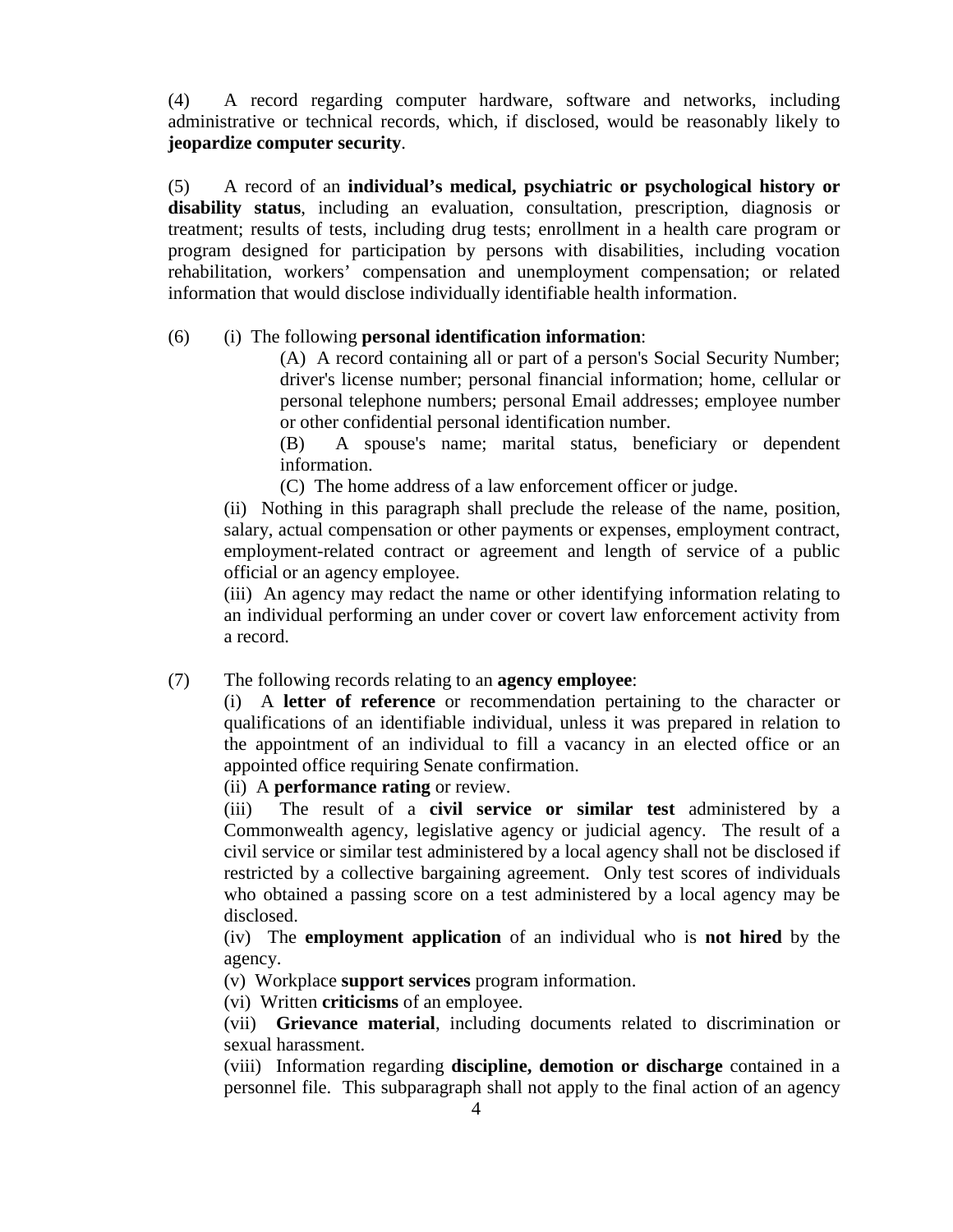(4) A record regarding computer hardware, software and networks, including administrative or technical records, which, if disclosed, would be reasonably likely to **jeopardize computer security**.

(5) A record of an **individual's medical, psychiatric or psychological history or disability status**, including an evaluation, consultation, prescription, diagnosis or treatment; results of tests, including drug tests; enrollment in a health care program or program designed for participation by persons with disabilities, including vocation rehabilitation, workers' compensation and unemployment compensation; or related information that would disclose individually identifiable health information.

# (6) (i) The following **personal identification information**:

(A) A record containing all or part of a person's Social Security Number; driver's license number; personal financial information; home, cellular or personal telephone numbers; personal Email addresses; employee number or other confidential personal identification number.

(B) A spouse's name; marital status, beneficiary or dependent information.

(C) The home address of a law enforcement officer or judge.

(ii) Nothing in this paragraph shall preclude the release of the name, position, salary, actual compensation or other payments or expenses, employment contract, employment-related contract or agreement and length of service of a public official or an agency employee.

(iii) An agency may redact the name or other identifying information relating to an individual performing an under cover or covert law enforcement activity from a record.

## (7) The following records relating to an **agency employee**:

(i) A **letter of reference** or recommendation pertaining to the character or qualifications of an identifiable individual, unless it was prepared in relation to the appointment of an individual to fill a vacancy in an elected office or an appointed office requiring Senate confirmation.

(ii) A **performance rating** or review.

(iii) The result of a **civil service or similar test** administered by a Commonwealth agency, legislative agency or judicial agency. The result of a civil service or similar test administered by a local agency shall not be disclosed if restricted by a collective bargaining agreement. Only test scores of individuals who obtained a passing score on a test administered by a local agency may be disclosed.

(iv) The **employment application** of an individual who is **not hired** by the agency.

(v) Workplace **support services** program information.

(vi) Written **criticisms** of an employee.

(vii) **Grievance material**, including documents related to discrimination or sexual harassment.

(viii) Information regarding **discipline, demotion or discharge** contained in a personnel file. This subparagraph shall not apply to the final action of an agency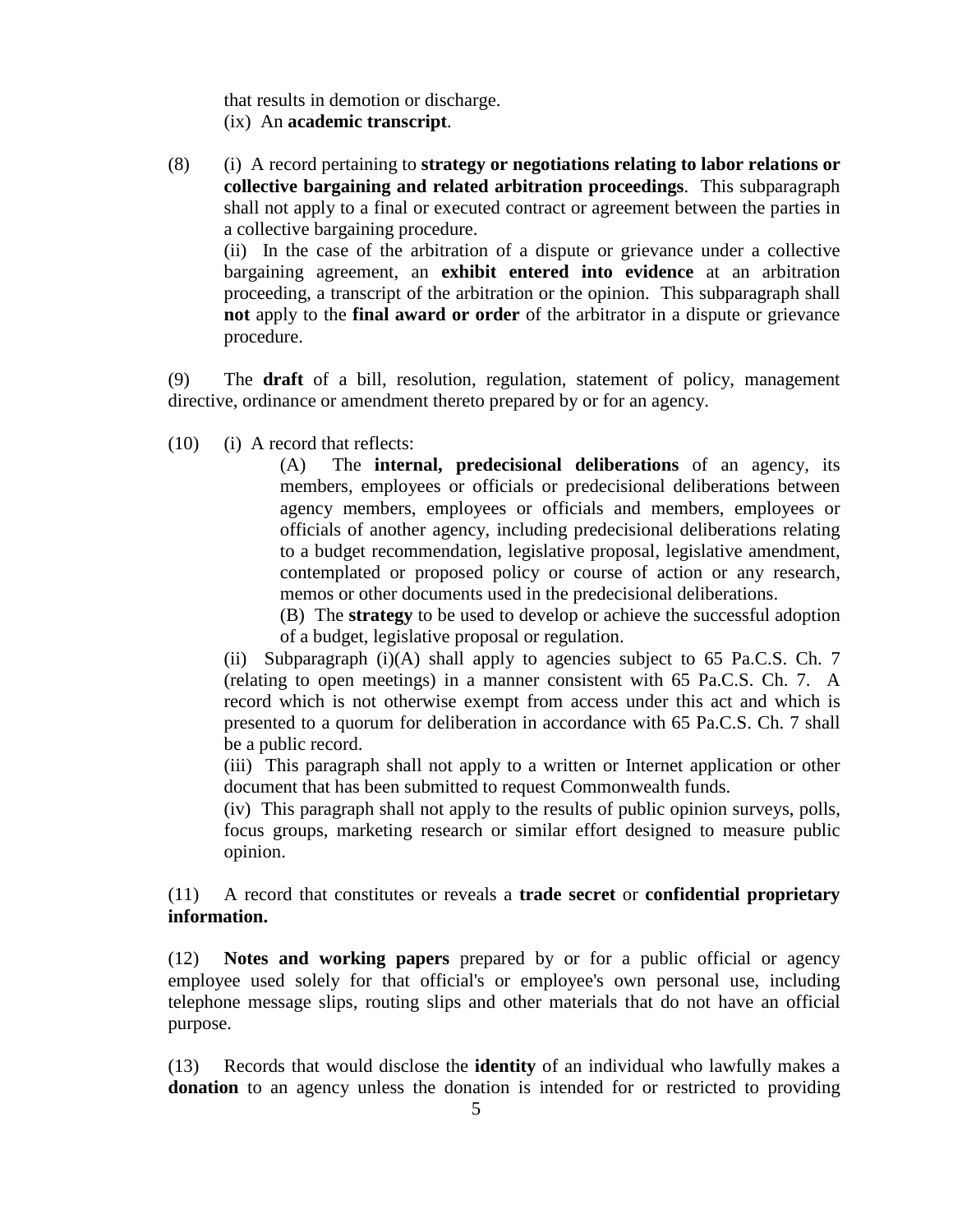that results in demotion or discharge. (ix) An **academic transcript**.

(8) (i) A record pertaining to **strategy or negotiations relating to labor relations or collective bargaining and related arbitration proceedings**. This subparagraph shall not apply to a final or executed contract or agreement between the parties in a collective bargaining procedure.

(ii) In the case of the arbitration of a dispute or grievance under a collective bargaining agreement, an **exhibit entered into evidence** at an arbitration proceeding, a transcript of the arbitration or the opinion. This subparagraph shall **not** apply to the **final award or order** of the arbitrator in a dispute or grievance procedure.

(9) The **draft** of a bill, resolution, regulation, statement of policy, management directive, ordinance or amendment thereto prepared by or for an agency.

(10) (i) A record that reflects:

(A) The **internal, predecisional deliberations** of an agency, its members, employees or officials or predecisional deliberations between agency members, employees or officials and members, employees or officials of another agency, including predecisional deliberations relating to a budget recommendation, legislative proposal, legislative amendment, contemplated or proposed policy or course of action or any research, memos or other documents used in the predecisional deliberations.

(B) The **strategy** to be used to develop or achieve the successful adoption of a budget, legislative proposal or regulation.

(ii) Subparagraph  $(i)(A)$  shall apply to agencies subject to 65 Pa.C.S. Ch. 7 (relating to open meetings) in a manner consistent with 65 Pa.C.S. Ch. 7. A record which is not otherwise exempt from access under this act and which is presented to a quorum for deliberation in accordance with 65 Pa.C.S. Ch. 7 shall be a public record.

(iii) This paragraph shall not apply to a written or Internet application or other document that has been submitted to request Commonwealth funds.

(iv) This paragraph shall not apply to the results of public opinion surveys, polls, focus groups, marketing research or similar effort designed to measure public opinion.

(11) A record that constitutes or reveals a **trade secret** or **confidential proprietary information.**

(12) **Notes and working papers** prepared by or for a public official or agency employee used solely for that official's or employee's own personal use, including telephone message slips, routing slips and other materials that do not have an official purpose.

(13) Records that would disclose the **identity** of an individual who lawfully makes a **donation** to an agency unless the donation is intended for or restricted to providing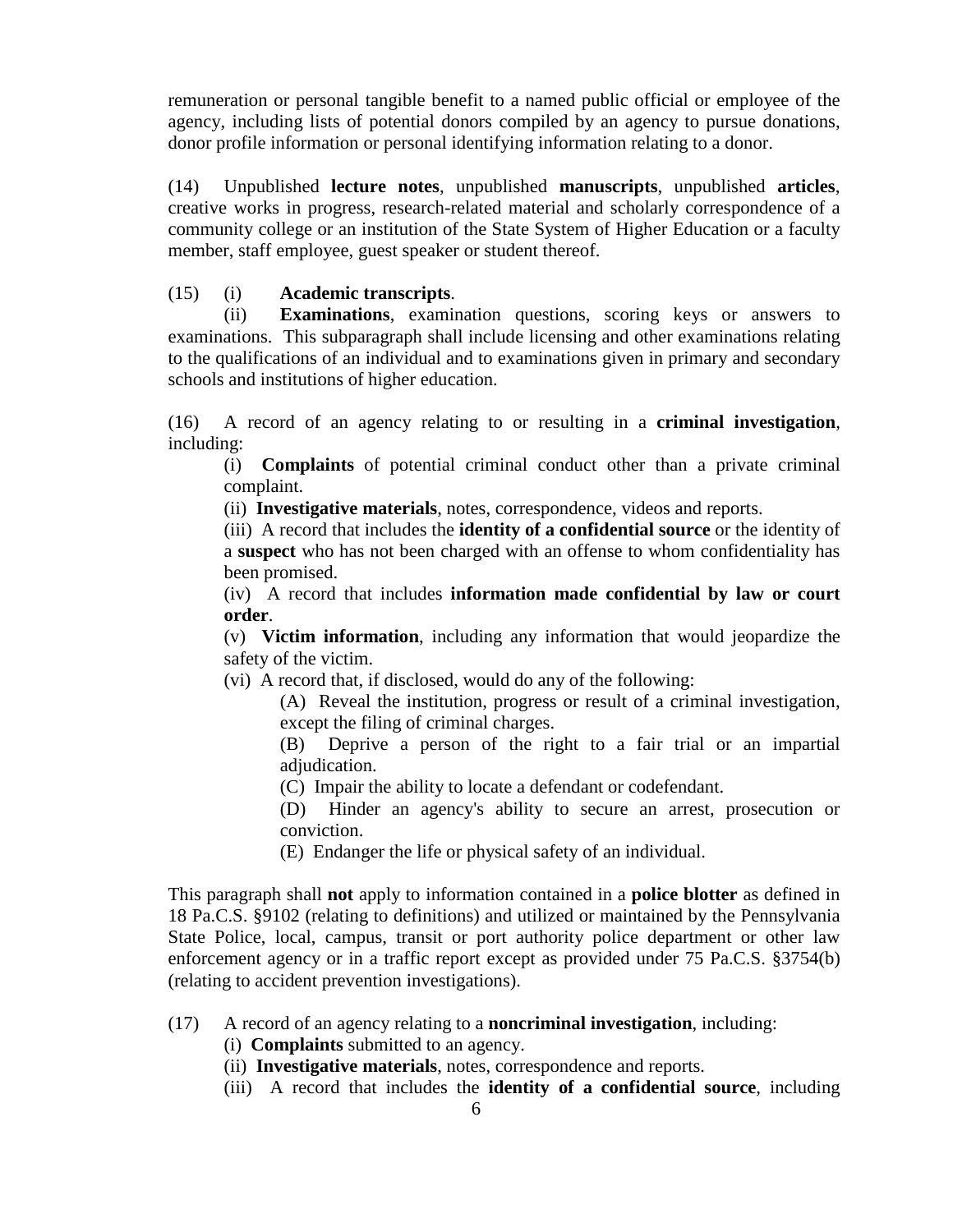remuneration or personal tangible benefit to a named public official or employee of the agency, including lists of potential donors compiled by an agency to pursue donations, donor profile information or personal identifying information relating to a donor.

(14) Unpublished **lecture notes**, unpublished **manuscripts**, unpublished **articles**, creative works in progress, research-related material and scholarly correspondence of a community college or an institution of the State System of Higher Education or a faculty member, staff employee, guest speaker or student thereof.

# (15) (i) **Academic transcripts**.

(ii) **Examinations**, examination questions, scoring keys or answers to examinations. This subparagraph shall include licensing and other examinations relating to the qualifications of an individual and to examinations given in primary and secondary schools and institutions of higher education.

(16) A record of an agency relating to or resulting in a **criminal investigation**, including:

(i) **Complaints** of potential criminal conduct other than a private criminal complaint.

(ii) **Investigative materials**, notes, correspondence, videos and reports.

(iii) A record that includes the **identity of a confidential source** or the identity of a **suspect** who has not been charged with an offense to whom confidentiality has been promised.

(iv) A record that includes **information made confidential by law or court order**.

(v) **Victim information**, including any information that would jeopardize the safety of the victim.

(vi) A record that, if disclosed, would do any of the following:

(A) Reveal the institution, progress or result of a criminal investigation, except the filing of criminal charges.

(B) Deprive a person of the right to a fair trial or an impartial adjudication.

(C) Impair the ability to locate a defendant or codefendant.

(D) Hinder an agency's ability to secure an arrest, prosecution or conviction.

(E) Endanger the life or physical safety of an individual.

This paragraph shall **not** apply to information contained in a **police blotter** as defined in 18 Pa.C.S. §9102 (relating to definitions) and utilized or maintained by the Pennsylvania State Police, local, campus, transit or port authority police department or other law enforcement agency or in a traffic report except as provided under 75 Pa.C.S. §3754(b) (relating to accident prevention investigations).

# (17) A record of an agency relating to a **noncriminal investigation**, including:

(i) **Complaints** submitted to an agency.

- (ii) **Investigative materials**, notes, correspondence and reports.
- (iii) A record that includes the **identity of a confidential source**, including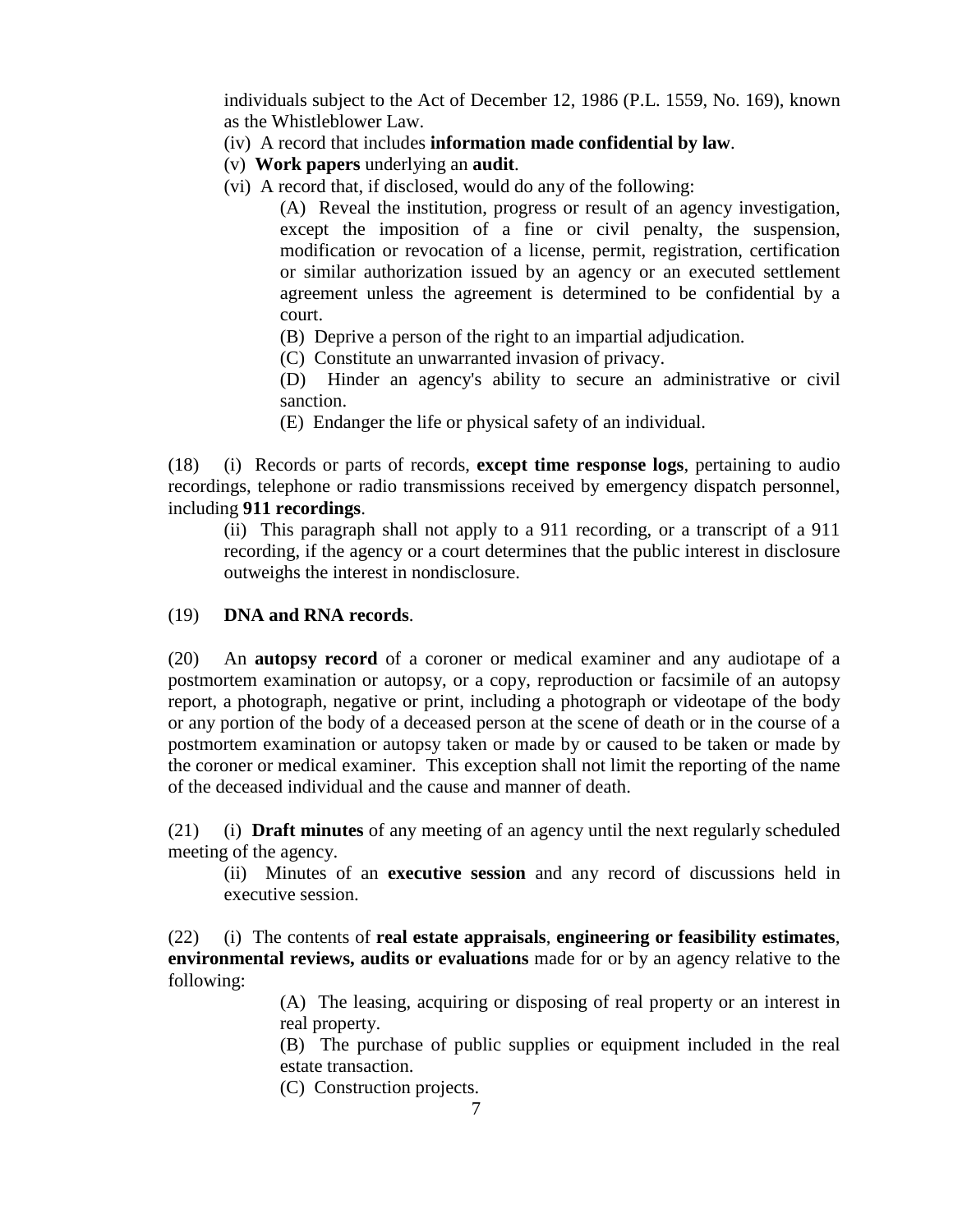individuals subject to the Act of December 12, 1986 (P.L. 1559, No. 169), known as the Whistleblower Law.

- (iv) A record that includes **information made confidential by law**.
- (v) **Work papers** underlying an **audit**.
- (vi) A record that, if disclosed, would do any of the following:

(A) Reveal the institution, progress or result of an agency investigation, except the imposition of a fine or civil penalty, the suspension, modification or revocation of a license, permit, registration, certification or similar authorization issued by an agency or an executed settlement agreement unless the agreement is determined to be confidential by a court.

- (B) Deprive a person of the right to an impartial adjudication.
- (C) Constitute an unwarranted invasion of privacy.

(D) Hinder an agency's ability to secure an administrative or civil sanction.

(E) Endanger the life or physical safety of an individual.

(18) (i) Records or parts of records, **except time response logs**, pertaining to audio recordings, telephone or radio transmissions received by emergency dispatch personnel, including **911 recordings**.

(ii) This paragraph shall not apply to a 911 recording, or a transcript of a 911 recording, if the agency or a court determines that the public interest in disclosure outweighs the interest in nondisclosure.

# (19) **DNA and RNA records**.

(20) An **autopsy record** of a coroner or medical examiner and any audiotape of a postmortem examination or autopsy, or a copy, reproduction or facsimile of an autopsy report, a photograph, negative or print, including a photograph or videotape of the body or any portion of the body of a deceased person at the scene of death or in the course of a postmortem examination or autopsy taken or made by or caused to be taken or made by the coroner or medical examiner. This exception shall not limit the reporting of the name of the deceased individual and the cause and manner of death.

(21) (i) **Draft minutes** of any meeting of an agency until the next regularly scheduled meeting of the agency.

(ii) Minutes of an **executive session** and any record of discussions held in executive session.

(22) (i) The contents of **real estate appraisals**, **engineering or feasibility estimates**, **environmental reviews, audits or evaluations** made for or by an agency relative to the following:

> (A) The leasing, acquiring or disposing of real property or an interest in real property.

> (B) The purchase of public supplies or equipment included in the real estate transaction.

(C) Construction projects.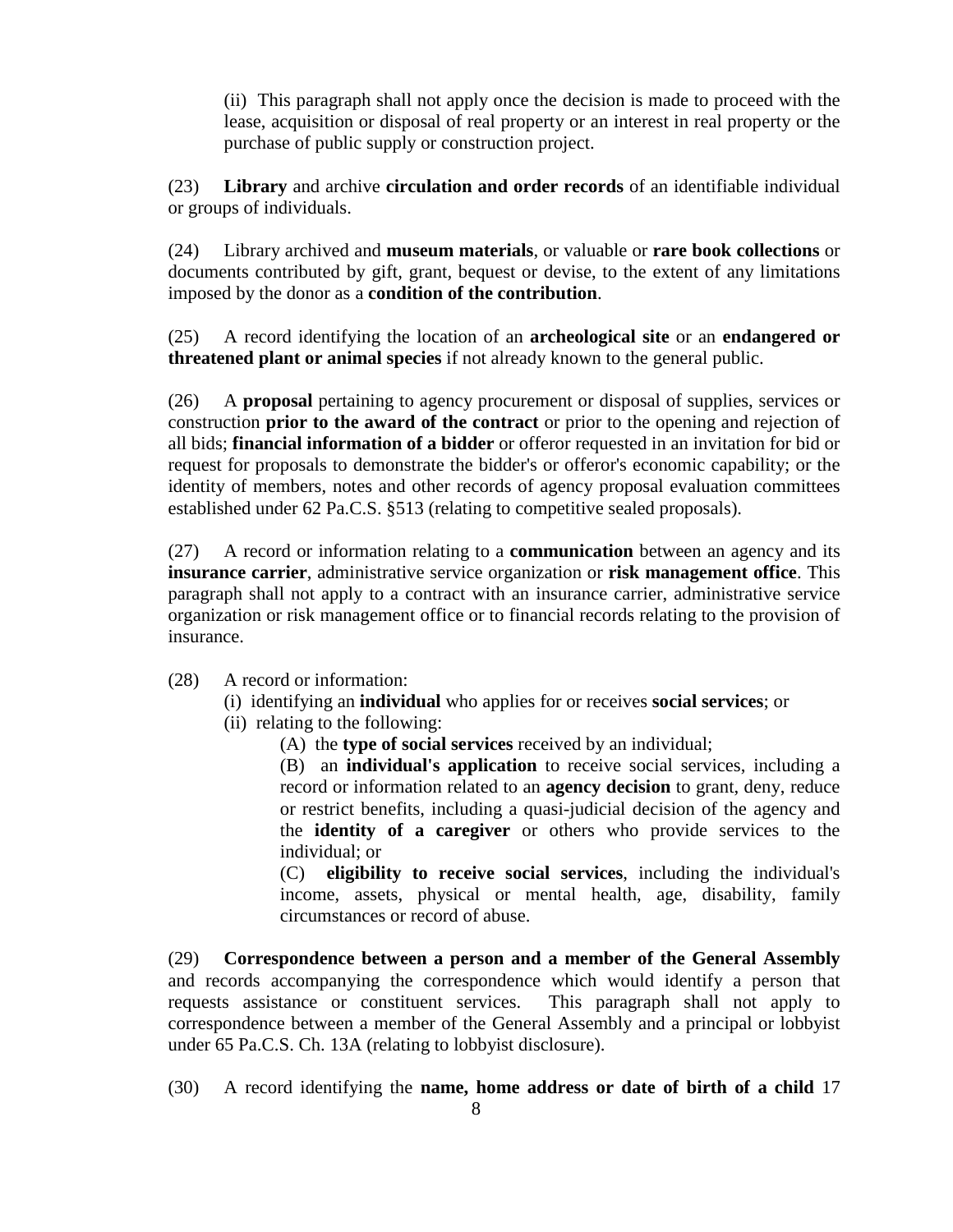(ii) This paragraph shall not apply once the decision is made to proceed with the lease, acquisition or disposal of real property or an interest in real property or the purchase of public supply or construction project.

(23) **Library** and archive **circulation and order records** of an identifiable individual or groups of individuals.

(24) Library archived and **museum materials**, or valuable or **rare book collections** or documents contributed by gift, grant, bequest or devise, to the extent of any limitations imposed by the donor as a **condition of the contribution**.

(25) A record identifying the location of an **archeological site** or an **endangered or threatened plant or animal species** if not already known to the general public.

(26) A **proposal** pertaining to agency procurement or disposal of supplies, services or construction **prior to the award of the contract** or prior to the opening and rejection of all bids; **financial information of a bidder** or offeror requested in an invitation for bid or request for proposals to demonstrate the bidder's or offeror's economic capability; or the identity of members, notes and other records of agency proposal evaluation committees established under 62 Pa.C.S. §513 (relating to competitive sealed proposals).

(27) A record or information relating to a **communication** between an agency and its **insurance carrier**, administrative service organization or **risk management office**. This paragraph shall not apply to a contract with an insurance carrier, administrative service organization or risk management office or to financial records relating to the provision of insurance.

(28) A record or information:

- (i) identifying an **individual** who applies for or receives **social services**; or
- (ii) relating to the following:
	- (A) the **type of social services** received by an individual;

(B) an **individual's application** to receive social services, including a record or information related to an **agency decision** to grant, deny, reduce or restrict benefits, including a quasi-judicial decision of the agency and the **identity of a caregiver** or others who provide services to the individual; or

(C) **eligibility to receive social services**, including the individual's income, assets, physical or mental health, age, disability, family circumstances or record of abuse.

(29) **Correspondence between a person and a member of the General Assembly** and records accompanying the correspondence which would identify a person that requests assistance or constituent services. This paragraph shall not apply to correspondence between a member of the General Assembly and a principal or lobbyist under 65 Pa.C.S. Ch. 13A (relating to lobbyist disclosure).

(30) A record identifying the **name, home address or date of birth of a child** 17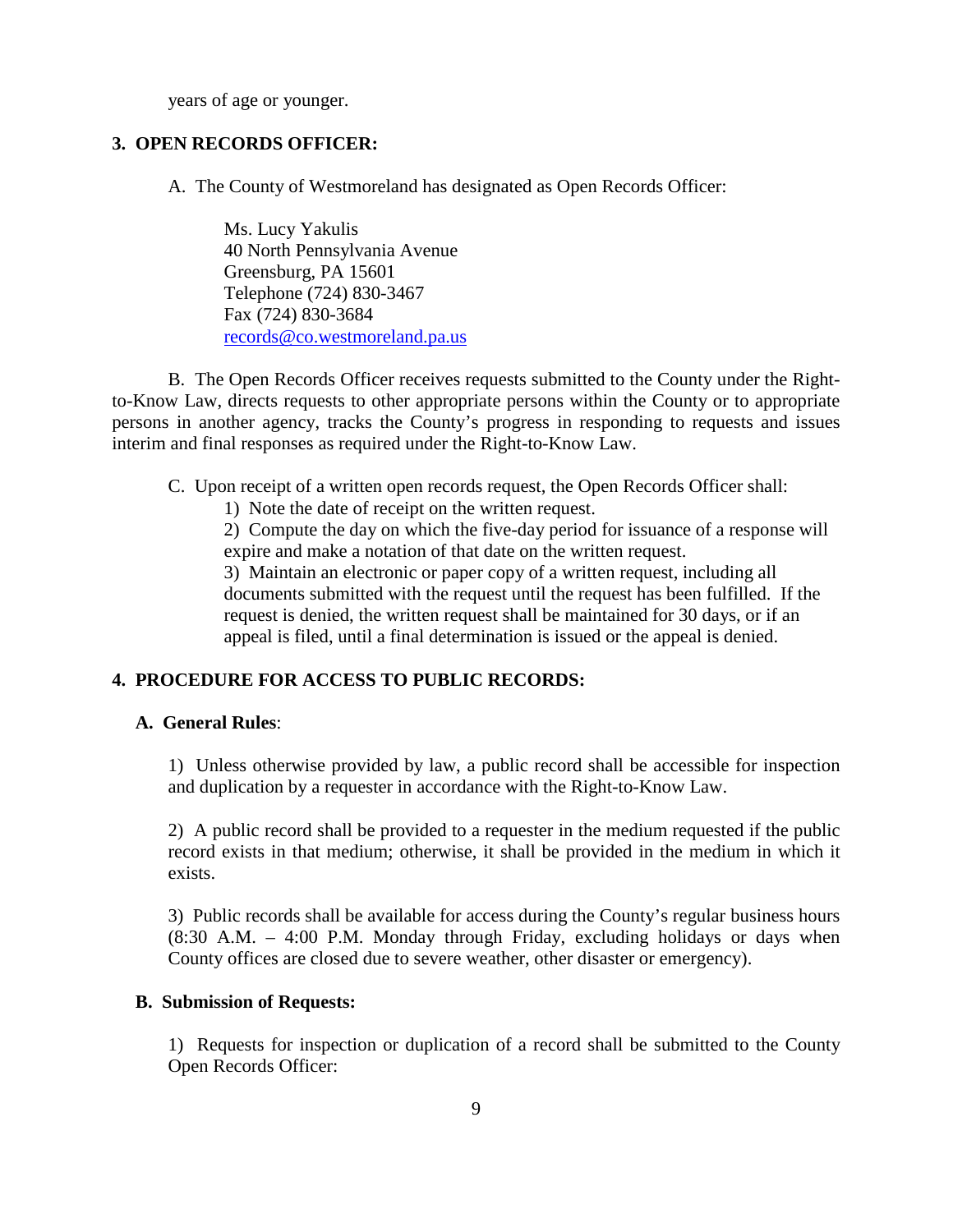years of age or younger.

#### **3. OPEN RECORDS OFFICER:**

A. The County of Westmoreland has designated as Open Records Officer:

Ms. Lucy Yakulis 40 North Pennsylvania Avenue Greensburg, PA 15601 Telephone (724) 830-3467 Fax (724) 830-3684 [records@co.westmoreland.pa.us](mailto:records@co.westmoreland.pa.us)

B. The Open Records Officer receives requests submitted to the County under the Rightto-Know Law, directs requests to other appropriate persons within the County or to appropriate persons in another agency, tracks the County's progress in responding to requests and issues interim and final responses as required under the Right-to-Know Law.

C. Upon receipt of a written open records request, the Open Records Officer shall:

1) Note the date of receipt on the written request.

2) Compute the day on which the five-day period for issuance of a response will expire and make a notation of that date on the written request.

3) Maintain an electronic or paper copy of a written request, including all documents submitted with the request until the request has been fulfilled. If the request is denied, the written request shall be maintained for 30 days, or if an appeal is filed, until a final determination is issued or the appeal is denied.

# **4. PROCEDURE FOR ACCESS TO PUBLIC RECORDS:**

#### **A. General Rules**:

1) Unless otherwise provided by law, a public record shall be accessible for inspection and duplication by a requester in accordance with the Right-to-Know Law.

2) A public record shall be provided to a requester in the medium requested if the public record exists in that medium; otherwise, it shall be provided in the medium in which it exists.

3) Public records shall be available for access during the County's regular business hours (8:30 A.M. – 4:00 P.M. Monday through Friday, excluding holidays or days when County offices are closed due to severe weather, other disaster or emergency).

#### **B. Submission of Requests:**

1) Requests for inspection or duplication of a record shall be submitted to the County Open Records Officer: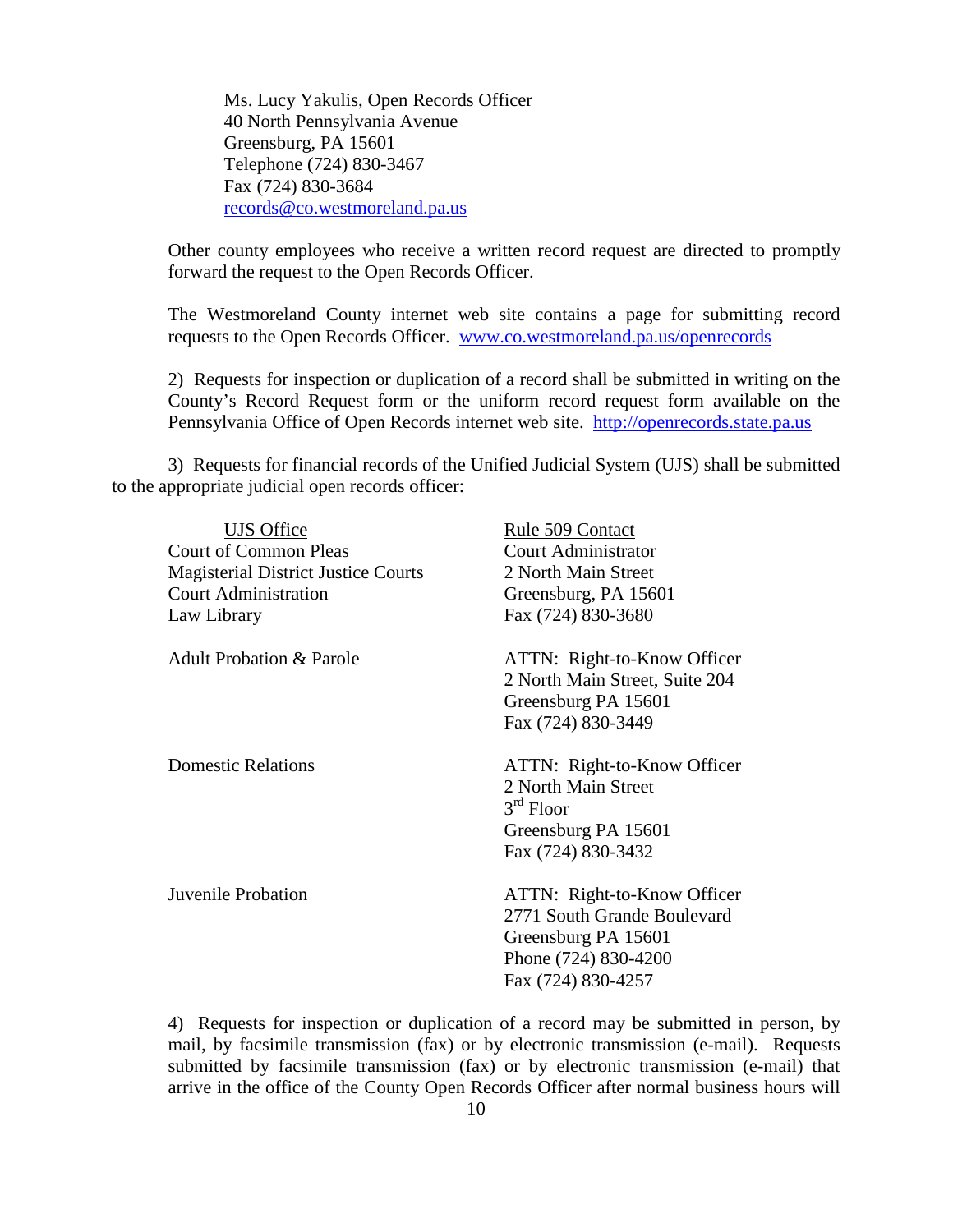Ms. Lucy Yakulis, Open Records Officer 40 North Pennsylvania Avenue Greensburg, PA 15601 Telephone (724) 830-3467 Fax (724) 830-3684 [records@co.westmoreland.pa.us](mailto:records@co.westmoreland.pa.us)

Other county employees who receive a written record request are directed to promptly forward the request to the Open Records Officer.

The Westmoreland County internet web site contains a page for submitting record requests to the Open Records Officer. [www.co.westmoreland.pa.us/openrecords](http://www.co.westmoreland.pa.us/openrecords)

2) Requests for inspection or duplication of a record shall be submitted in writing on the County's Record Request form or the uniform record request form available on the Pennsylvania Office of Open Records internet web site. [http://openrecords.state.pa.us](http://openrecords.state.pa.us/)

3) Requests for financial records of the Unified Judicial System (UJS) shall be submitted to the appropriate judicial open records officer:

| <b>UJS</b> Office                          | Rule 509 Contact                                                                                                                |
|--------------------------------------------|---------------------------------------------------------------------------------------------------------------------------------|
| <b>Court of Common Pleas</b>               | <b>Court Administrator</b>                                                                                                      |
| <b>Magisterial District Justice Courts</b> | 2 North Main Street                                                                                                             |
| <b>Court Administration</b>                | Greensburg, PA 15601                                                                                                            |
| Law Library                                | Fax (724) 830-3680                                                                                                              |
| <b>Adult Probation &amp; Parole</b>        | ATTN: Right-to-Know Officer<br>2 North Main Street, Suite 204<br>Greensburg PA 15601<br>Fax (724) 830-3449                      |
| <b>Domestic Relations</b>                  | ATTN: Right-to-Know Officer<br>2 North Main Street<br>$3rd$ Floor<br>Greensburg PA 15601<br>Fax (724) 830-3432                  |
| Juvenile Probation                         | ATTN: Right-to-Know Officer<br>2771 South Grande Boulevard<br>Greensburg PA 15601<br>Phone (724) 830-4200<br>Fax (724) 830-4257 |

4) Requests for inspection or duplication of a record may be submitted in person, by mail, by facsimile transmission (fax) or by electronic transmission (e-mail). Requests submitted by facsimile transmission (fax) or by electronic transmission (e-mail) that arrive in the office of the County Open Records Officer after normal business hours will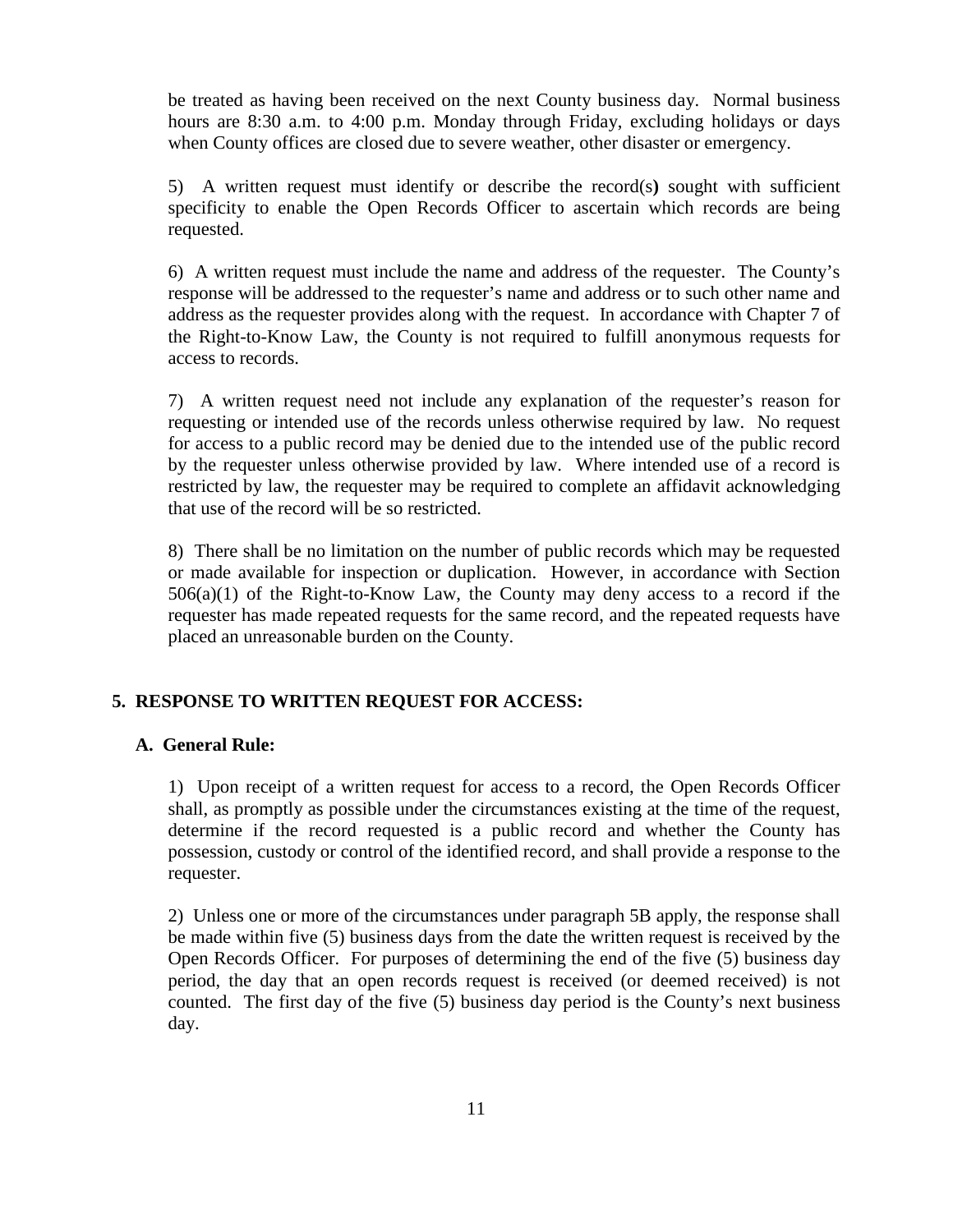be treated as having been received on the next County business day. Normal business hours are 8:30 a.m. to 4:00 p.m. Monday through Friday, excluding holidays or days when County offices are closed due to severe weather, other disaster or emergency.

5) A written request must identify or describe the record(s**)** sought with sufficient specificity to enable the Open Records Officer to ascertain which records are being requested.

6) A written request must include the name and address of the requester. The County's response will be addressed to the requester's name and address or to such other name and address as the requester provides along with the request. In accordance with Chapter 7 of the Right-to-Know Law, the County is not required to fulfill anonymous requests for access to records.

7) A written request need not include any explanation of the requester's reason for requesting or intended use of the records unless otherwise required by law. No request for access to a public record may be denied due to the intended use of the public record by the requester unless otherwise provided by law. Where intended use of a record is restricted by law, the requester may be required to complete an affidavit acknowledging that use of the record will be so restricted.

8) There shall be no limitation on the number of public records which may be requested or made available for inspection or duplication. However, in accordance with Section  $506(a)(1)$  of the Right-to-Know Law, the County may deny access to a record if the requester has made repeated requests for the same record, and the repeated requests have placed an unreasonable burden on the County.

## **5. RESPONSE TO WRITTEN REQUEST FOR ACCESS:**

#### **A. General Rule:**

1) Upon receipt of a written request for access to a record, the Open Records Officer shall, as promptly as possible under the circumstances existing at the time of the request, determine if the record requested is a public record and whether the County has possession, custody or control of the identified record, and shall provide a response to the requester.

2) Unless one or more of the circumstances under paragraph 5B apply, the response shall be made within five (5) business days from the date the written request is received by the Open Records Officer. For purposes of determining the end of the five (5) business day period, the day that an open records request is received (or deemed received) is not counted. The first day of the five (5) business day period is the County's next business day.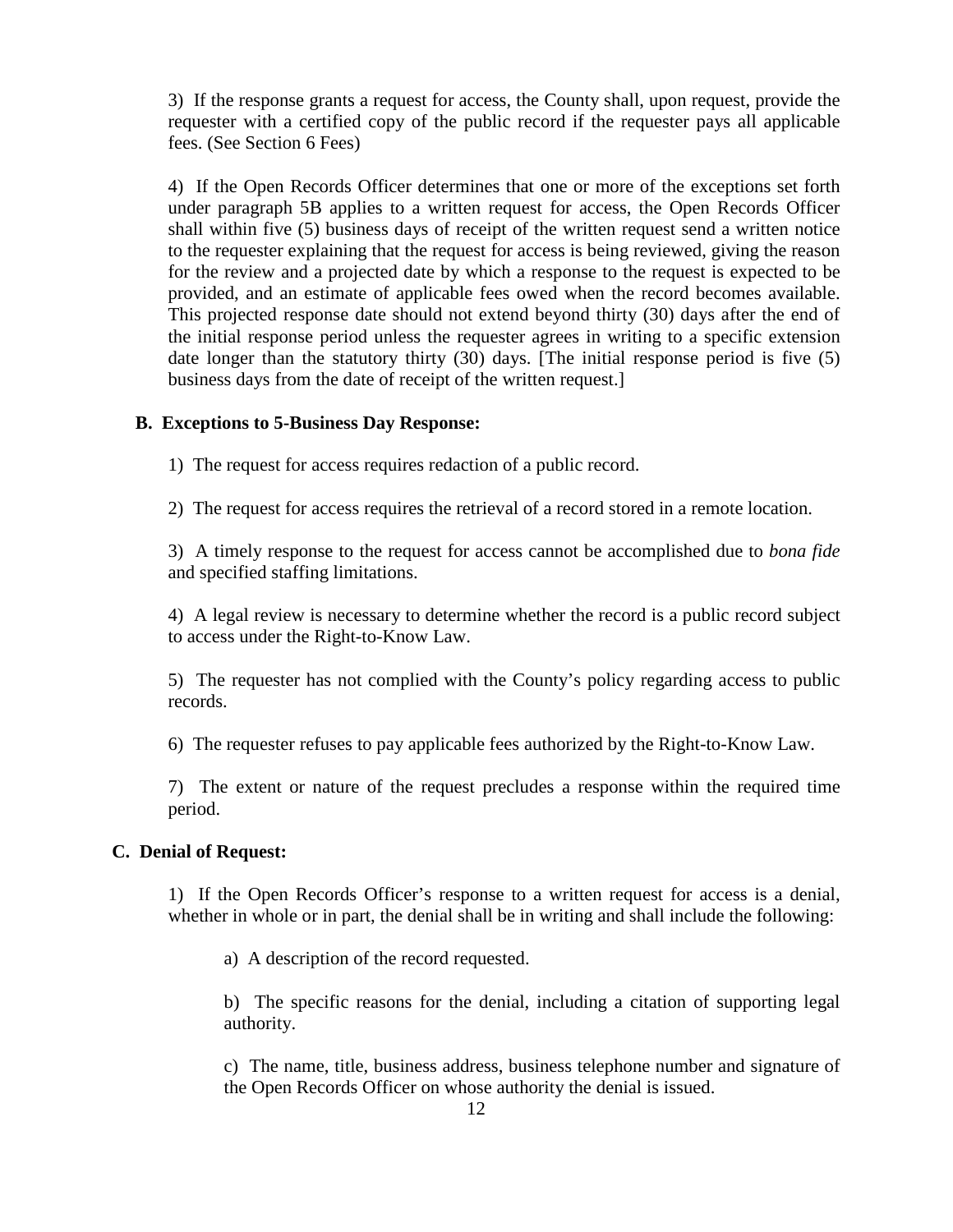3) If the response grants a request for access, the County shall, upon request, provide the requester with a certified copy of the public record if the requester pays all applicable fees. (See Section 6 Fees)

4) If the Open Records Officer determines that one or more of the exceptions set forth under paragraph 5B applies to a written request for access, the Open Records Officer shall within five (5) business days of receipt of the written request send a written notice to the requester explaining that the request for access is being reviewed, giving the reason for the review and a projected date by which a response to the request is expected to be provided, and an estimate of applicable fees owed when the record becomes available. This projected response date should not extend beyond thirty (30) days after the end of the initial response period unless the requester agrees in writing to a specific extension date longer than the statutory thirty (30) days. [The initial response period is five (5) business days from the date of receipt of the written request.]

#### **B. Exceptions to 5-Business Day Response:**

1) The request for access requires redaction of a public record.

2) The request for access requires the retrieval of a record stored in a remote location.

3) A timely response to the request for access cannot be accomplished due to *bona fide* and specified staffing limitations.

4) A legal review is necessary to determine whether the record is a public record subject to access under the Right-to-Know Law.

5) The requester has not complied with the County's policy regarding access to public records.

6) The requester refuses to pay applicable fees authorized by the Right-to-Know Law.

7) The extent or nature of the request precludes a response within the required time period.

#### **C. Denial of Request:**

1) If the Open Records Officer's response to a written request for access is a denial, whether in whole or in part, the denial shall be in writing and shall include the following:

a) A description of the record requested.

b) The specific reasons for the denial, including a citation of supporting legal authority.

c) The name, title, business address, business telephone number and signature of the Open Records Officer on whose authority the denial is issued.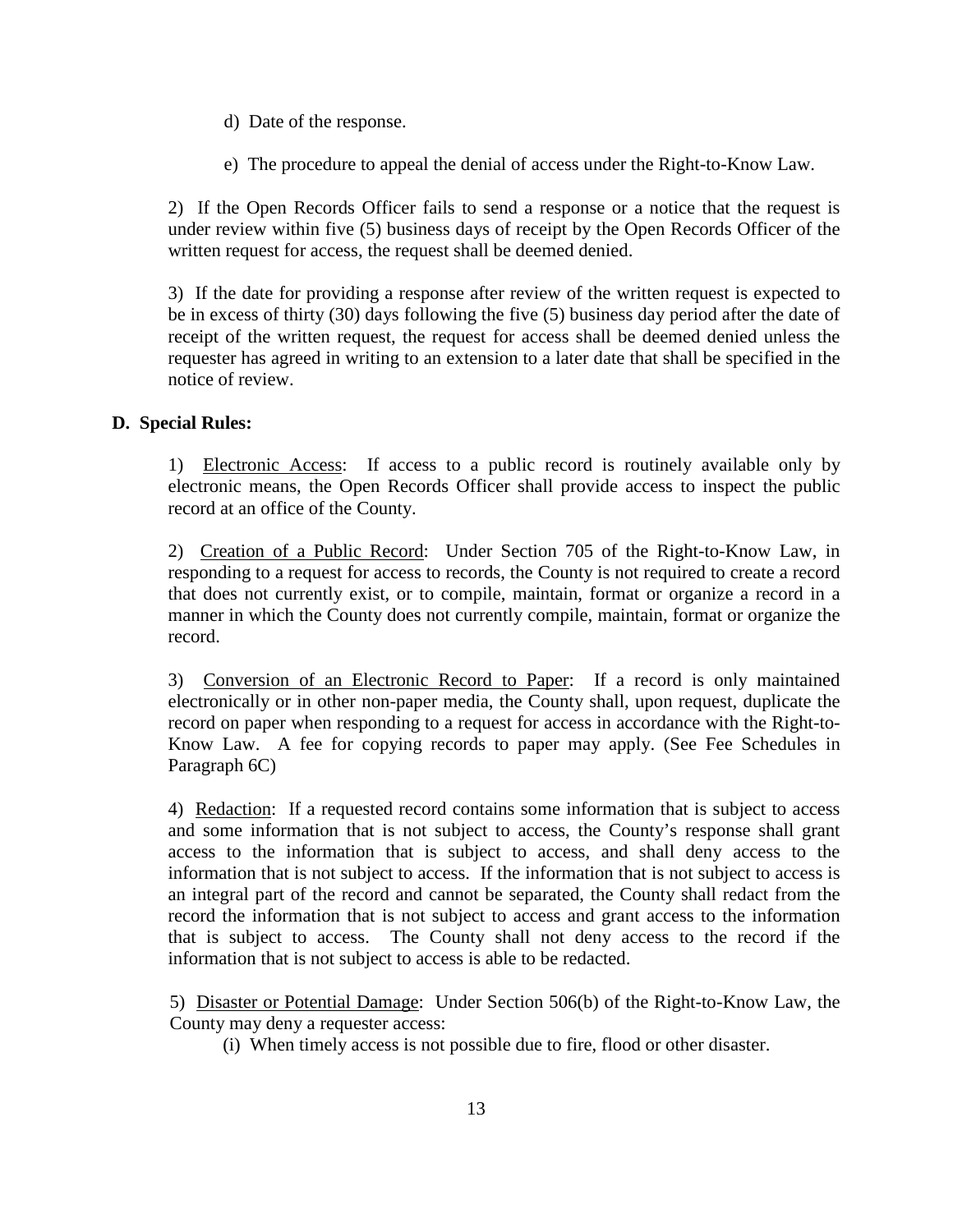- d) Date of the response.
- e) The procedure to appeal the denial of access under the Right-to-Know Law.

2) If the Open Records Officer fails to send a response or a notice that the request is under review within five (5) business days of receipt by the Open Records Officer of the written request for access, the request shall be deemed denied.

3) If the date for providing a response after review of the written request is expected to be in excess of thirty (30) days following the five (5) business day period after the date of receipt of the written request, the request for access shall be deemed denied unless the requester has agreed in writing to an extension to a later date that shall be specified in the notice of review.

## **D. Special Rules:**

1) Electronic Access: If access to a public record is routinely available only by electronic means, the Open Records Officer shall provide access to inspect the public record at an office of the County.

2) Creation of a Public Record: Under Section 705 of the Right-to-Know Law, in responding to a request for access to records, the County is not required to create a record that does not currently exist, or to compile, maintain, format or organize a record in a manner in which the County does not currently compile, maintain, format or organize the record.

3) Conversion of an Electronic Record to Paper: If a record is only maintained electronically or in other non-paper media, the County shall, upon request, duplicate the record on paper when responding to a request for access in accordance with the Right-to-Know Law. A fee for copying records to paper may apply. (See Fee Schedules in Paragraph 6C)

4) Redaction: If a requested record contains some information that is subject to access and some information that is not subject to access, the County's response shall grant access to the information that is subject to access, and shall deny access to the information that is not subject to access. If the information that is not subject to access is an integral part of the record and cannot be separated, the County shall redact from the record the information that is not subject to access and grant access to the information that is subject to access. The County shall not deny access to the record if the information that is not subject to access is able to be redacted.

5) Disaster or Potential Damage: Under Section 506(b) of the Right-to-Know Law, the County may deny a requester access:

(i) When timely access is not possible due to fire, flood or other disaster.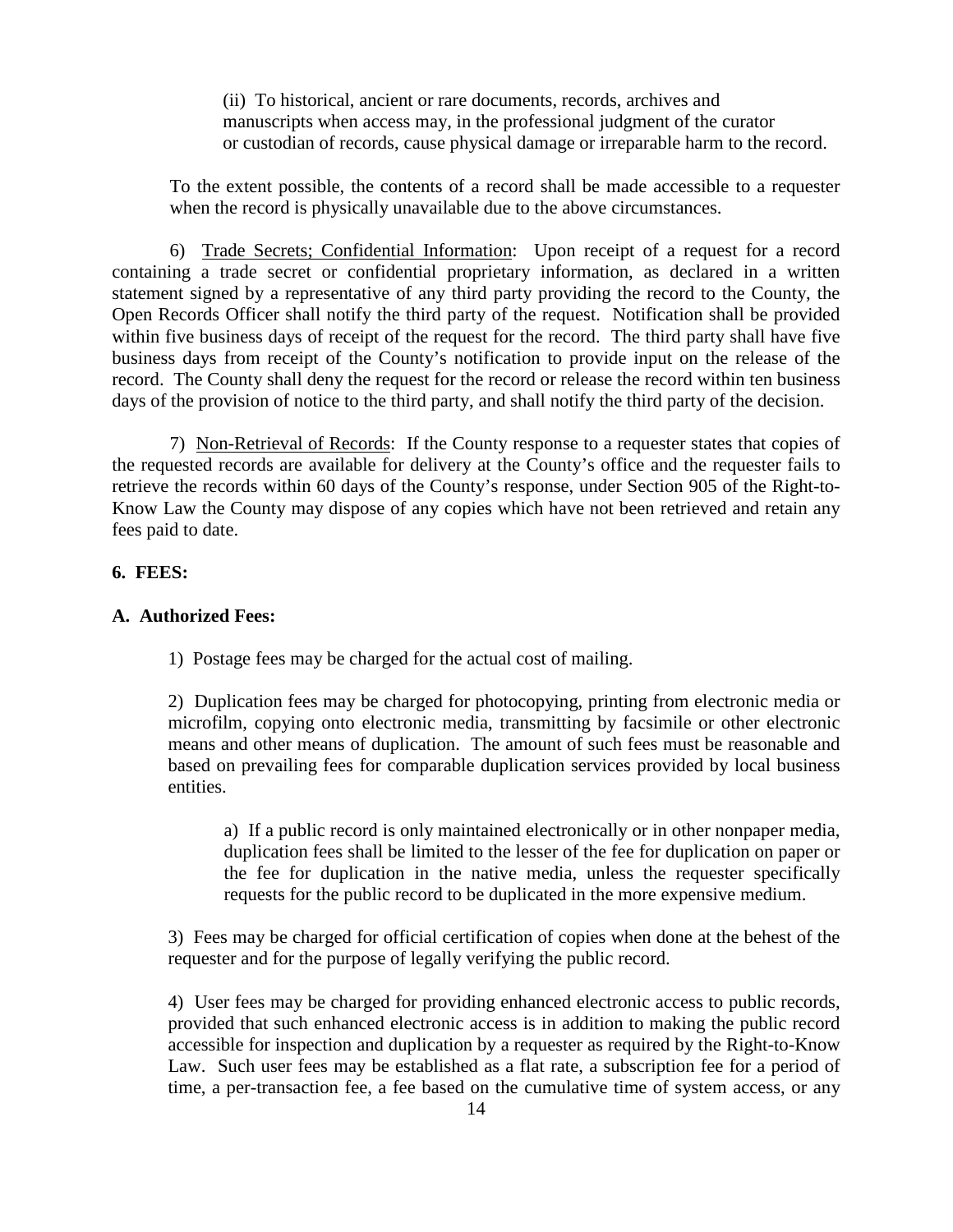(ii) To historical, ancient or rare documents, records, archives and manuscripts when access may, in the professional judgment of the curator or custodian of records, cause physical damage or irreparable harm to the record.

To the extent possible, the contents of a record shall be made accessible to a requester when the record is physically unavailable due to the above circumstances.

6) Trade Secrets; Confidential Information: Upon receipt of a request for a record containing a trade secret or confidential proprietary information, as declared in a written statement signed by a representative of any third party providing the record to the County, the Open Records Officer shall notify the third party of the request. Notification shall be provided within five business days of receipt of the request for the record. The third party shall have five business days from receipt of the County's notification to provide input on the release of the record. The County shall deny the request for the record or release the record within ten business days of the provision of notice to the third party, and shall notify the third party of the decision.

7) Non-Retrieval of Records: If the County response to a requester states that copies of the requested records are available for delivery at the County's office and the requester fails to retrieve the records within 60 days of the County's response, under Section 905 of the Right-to-Know Law the County may dispose of any copies which have not been retrieved and retain any fees paid to date.

### **6. FEES:**

#### **A. Authorized Fees:**

1) Postage fees may be charged for the actual cost of mailing.

2) Duplication fees may be charged for photocopying, printing from electronic media or microfilm, copying onto electronic media, transmitting by facsimile or other electronic means and other means of duplication. The amount of such fees must be reasonable and based on prevailing fees for comparable duplication services provided by local business entities.

a) If a public record is only maintained electronically or in other nonpaper media, duplication fees shall be limited to the lesser of the fee for duplication on paper or the fee for duplication in the native media, unless the requester specifically requests for the public record to be duplicated in the more expensive medium.

3) Fees may be charged for official certification of copies when done at the behest of the requester and for the purpose of legally verifying the public record.

4) User fees may be charged for providing enhanced electronic access to public records, provided that such enhanced electronic access is in addition to making the public record accessible for inspection and duplication by a requester as required by the Right-to-Know Law. Such user fees may be established as a flat rate, a subscription fee for a period of time, a per-transaction fee, a fee based on the cumulative time of system access, or any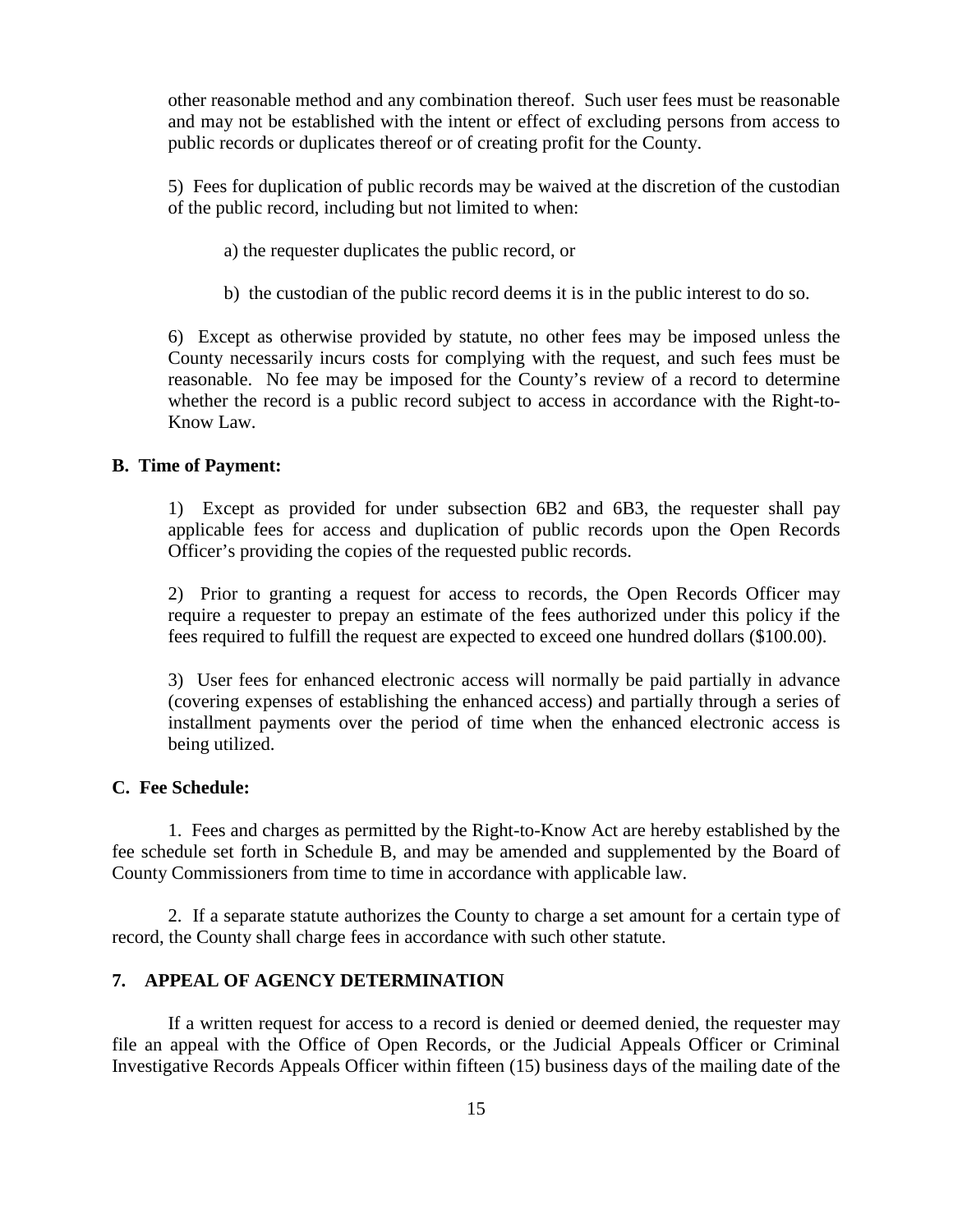other reasonable method and any combination thereof. Such user fees must be reasonable and may not be established with the intent or effect of excluding persons from access to public records or duplicates thereof or of creating profit for the County.

5) Fees for duplication of public records may be waived at the discretion of the custodian of the public record, including but not limited to when:

- a) the requester duplicates the public record, or
- b) the custodian of the public record deems it is in the public interest to do so.

6) Except as otherwise provided by statute, no other fees may be imposed unless the County necessarily incurs costs for complying with the request, and such fees must be reasonable. No fee may be imposed for the County's review of a record to determine whether the record is a public record subject to access in accordance with the Right-to-Know Law.

#### **B. Time of Payment:**

1) Except as provided for under subsection 6B2 and 6B3, the requester shall pay applicable fees for access and duplication of public records upon the Open Records Officer's providing the copies of the requested public records.

2) Prior to granting a request for access to records, the Open Records Officer may require a requester to prepay an estimate of the fees authorized under this policy if the fees required to fulfill the request are expected to exceed one hundred dollars (\$100.00).

3) User fees for enhanced electronic access will normally be paid partially in advance (covering expenses of establishing the enhanced access) and partially through a series of installment payments over the period of time when the enhanced electronic access is being utilized.

## **C. Fee Schedule:**

1. Fees and charges as permitted by the Right-to-Know Act are hereby established by the fee schedule set forth in Schedule B, and may be amended and supplemented by the Board of County Commissioners from time to time in accordance with applicable law.

2. If a separate statute authorizes the County to charge a set amount for a certain type of record, the County shall charge fees in accordance with such other statute.

#### **7. APPEAL OF AGENCY DETERMINATION**

If a written request for access to a record is denied or deemed denied, the requester may file an appeal with the Office of Open Records, or the Judicial Appeals Officer or Criminal Investigative Records Appeals Officer within fifteen (15) business days of the mailing date of the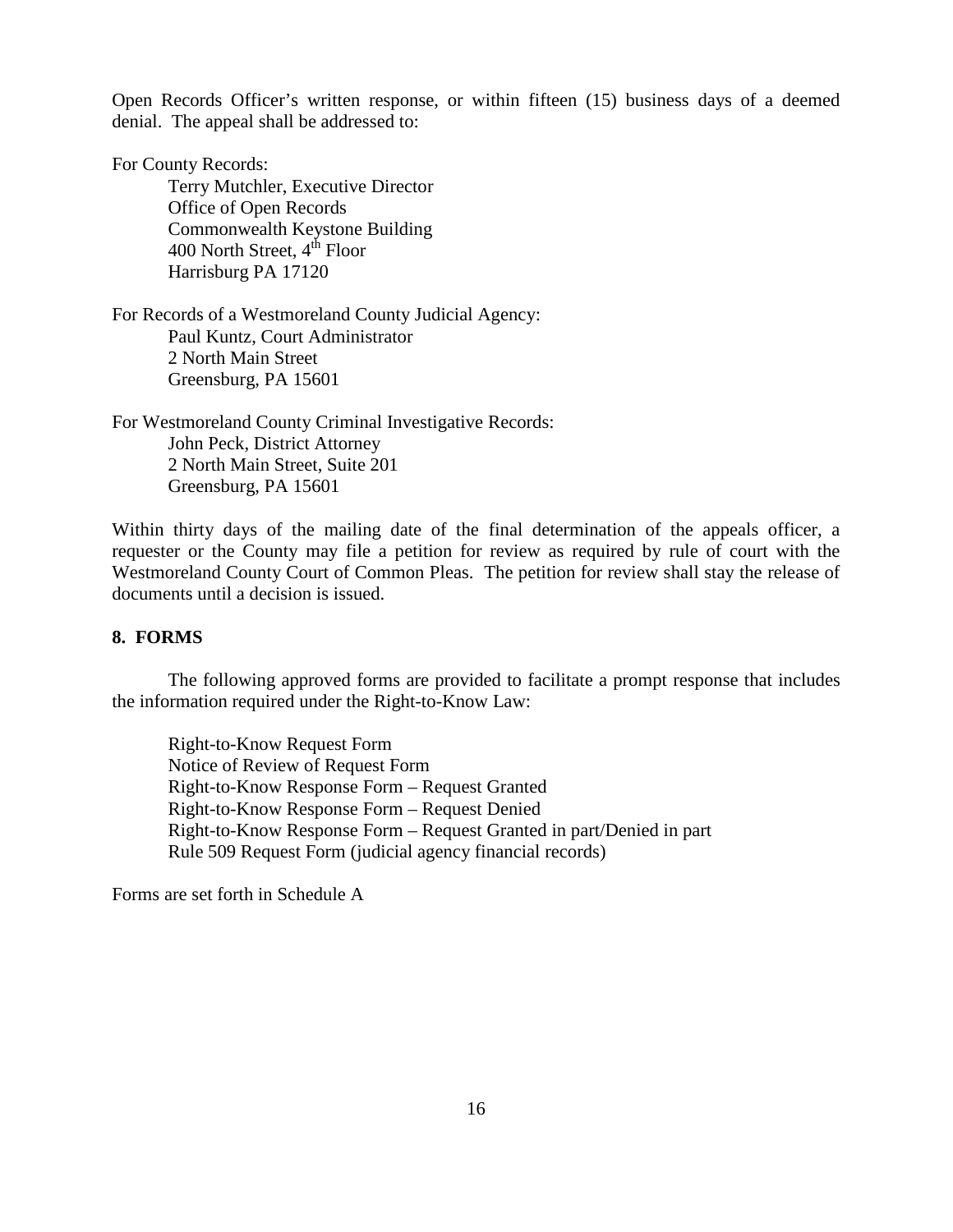Open Records Officer's written response, or within fifteen (15) business days of a deemed denial. The appeal shall be addressed to:

For County Records:

Terry Mutchler, Executive Director Office of Open Records Commonwealth Keystone Building 400 North Street,  $4<sup>th</sup>$  Floor Harrisburg PA 17120

For Records of a Westmoreland County Judicial Agency: Paul Kuntz, Court Administrator 2 North Main Street Greensburg, PA 15601

For Westmoreland County Criminal Investigative Records: John Peck, District Attorney 2 North Main Street, Suite 201 Greensburg, PA 15601

Within thirty days of the mailing date of the final determination of the appeals officer, a requester or the County may file a petition for review as required by rule of court with the Westmoreland County Court of Common Pleas. The petition for review shall stay the release of documents until a decision is issued.

## **8. FORMS**

The following approved forms are provided to facilitate a prompt response that includes the information required under the Right-to-Know Law:

Right-to-Know Request Form Notice of Review of Request Form Right-to-Know Response Form – Request Granted Right-to-Know Response Form – Request Denied Right-to-Know Response Form – Request Granted in part/Denied in part Rule 509 Request Form (judicial agency financial records)

Forms are set forth in Schedule A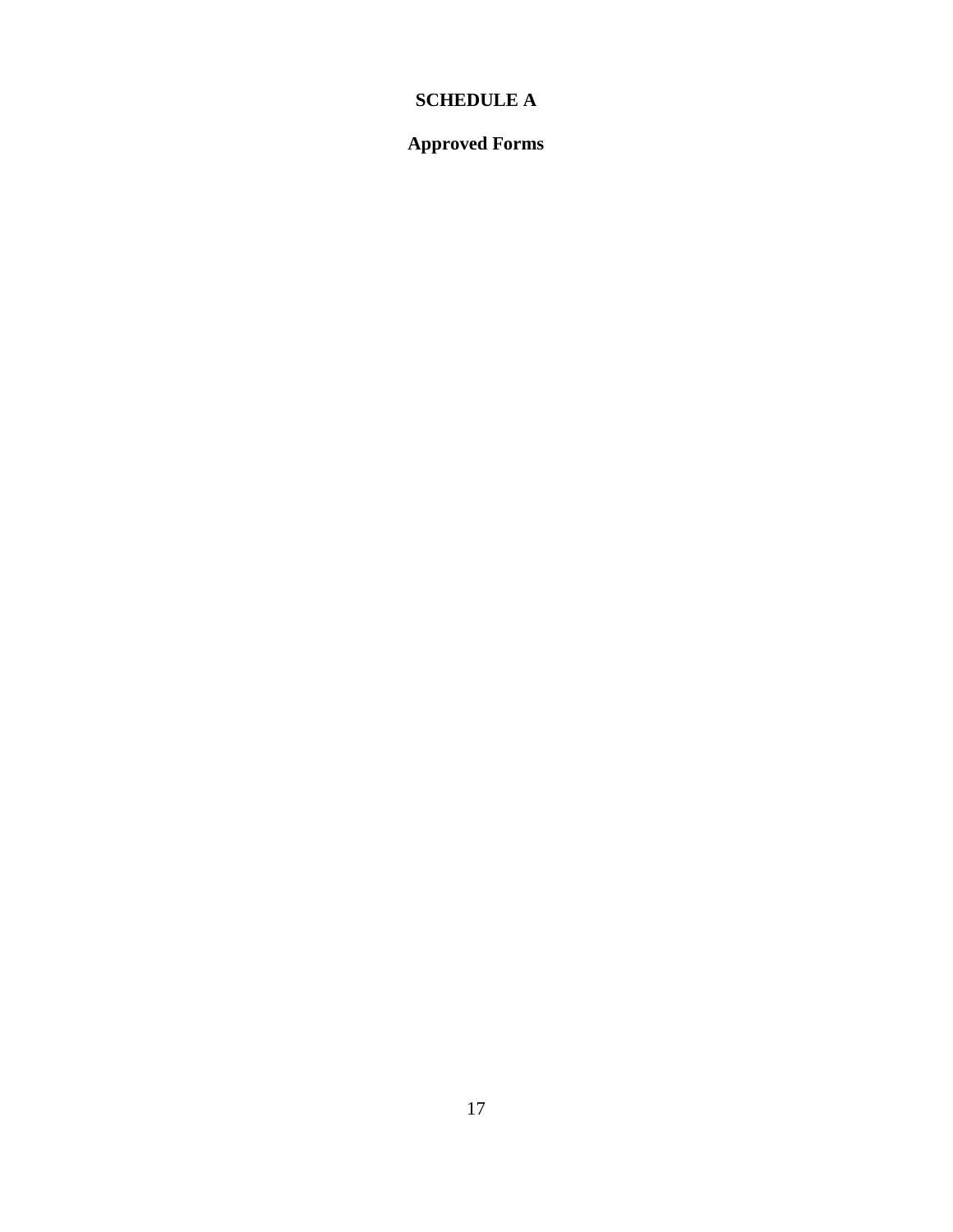# **SCHEDULE A**

# **Approved Forms**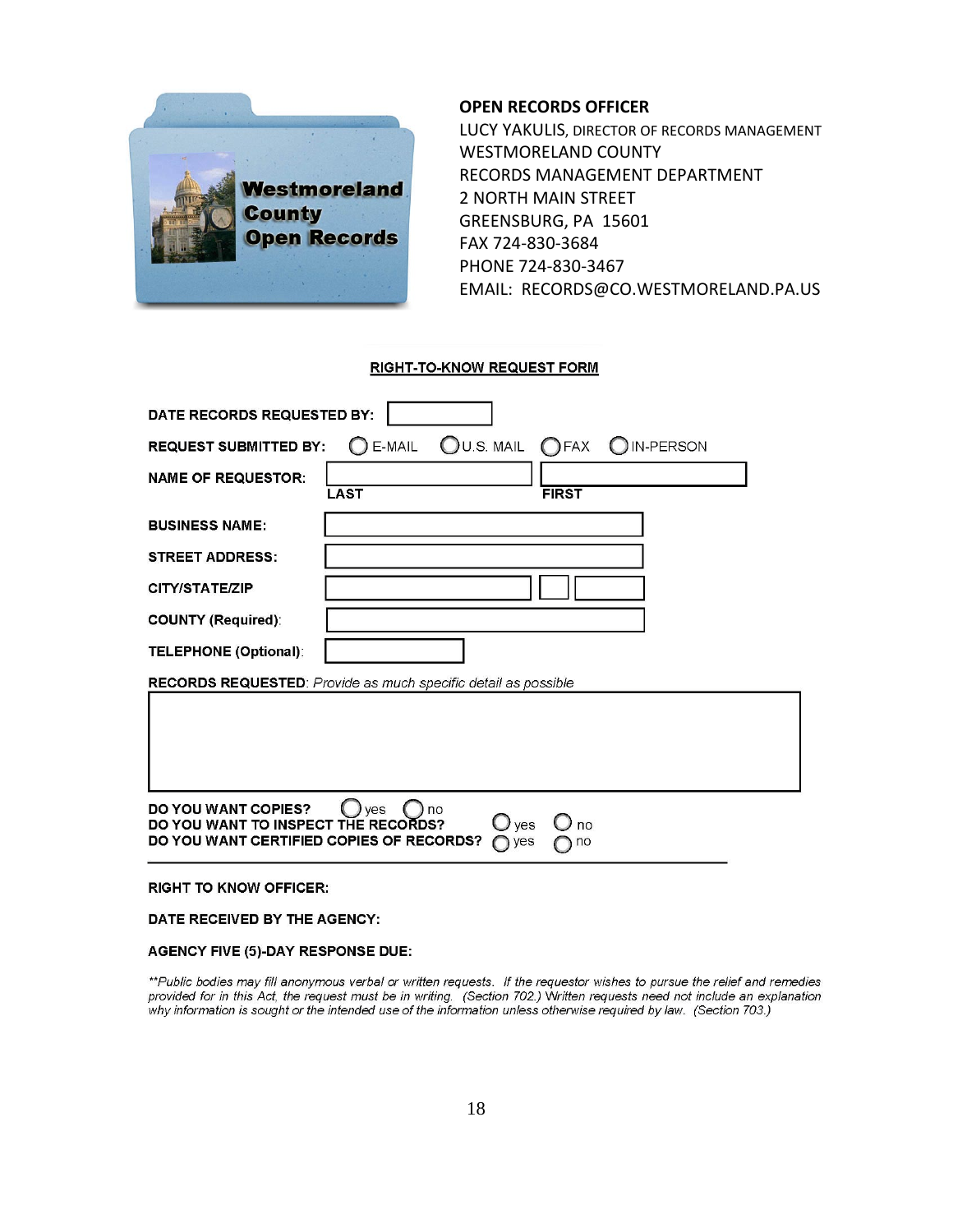

#### **OPEN RECORDS OFFICER**

LUCY YAKULIS, DIRECTOR OF RECORDS MANAGEMENT WESTMORELAND COUNTY RECORDS MANAGEMENT DEPARTMENT 2 NORTH MAIN STREET GREENSBURG, PA 15601 FAX 724-830-3684 PHONE 724-830-3467 EMAIL: RECORDS@CO.WESTMORELAND.PA.US

#### **RIGHT-TO-KNOW REQUEST FORM**

| DATE RECORDS REQUESTED BY:                                                                                                                                     |  |  |  |  |
|----------------------------------------------------------------------------------------------------------------------------------------------------------------|--|--|--|--|
| E-MAIL OU.S. MAIL OFAX O<br><b>IN-PERSON</b><br><b>REQUEST SUBMITTED BY:</b>                                                                                   |  |  |  |  |
| <b>NAME OF REQUESTOR:</b><br><b>FIRST</b><br><b>LAST</b>                                                                                                       |  |  |  |  |
| <b>BUSINESS NAME:</b>                                                                                                                                          |  |  |  |  |
| <b>STREET ADDRESS:</b>                                                                                                                                         |  |  |  |  |
| CITY/STATE/ZIP                                                                                                                                                 |  |  |  |  |
| <b>COUNTY (Required):</b>                                                                                                                                      |  |  |  |  |
| <b>TELEPHONE (Optional):</b>                                                                                                                                   |  |  |  |  |
| RECORDS REQUESTED: Provide as much specific detail as possible                                                                                                 |  |  |  |  |
|                                                                                                                                                                |  |  |  |  |
| <b>DO YOU WANT COPIES?</b><br>ves<br>no<br>DO YOU WANT TO INSPECT THE RECORDS?<br>$\bigcup$ ves<br>no<br>DO YOU WANT CERTIFIED COPIES OF RECORDS?<br>yes<br>no |  |  |  |  |
|                                                                                                                                                                |  |  |  |  |

#### **RIGHT TO KNOW OFFICER:**

#### DATE RECEIVED BY THE AGENCY:

#### **AGENCY FIVE (5)-DAY RESPONSE DUE:**

\*\*Public bodies may fill anonymous verbal or written requests. If the requestor wishes to pursue the relief and remedies provided for in this Act, the request must be in writing. (Section 702.) Written requests need not include an explanation<br>why information is sought or the intended use of the information unless otherwise required by law. (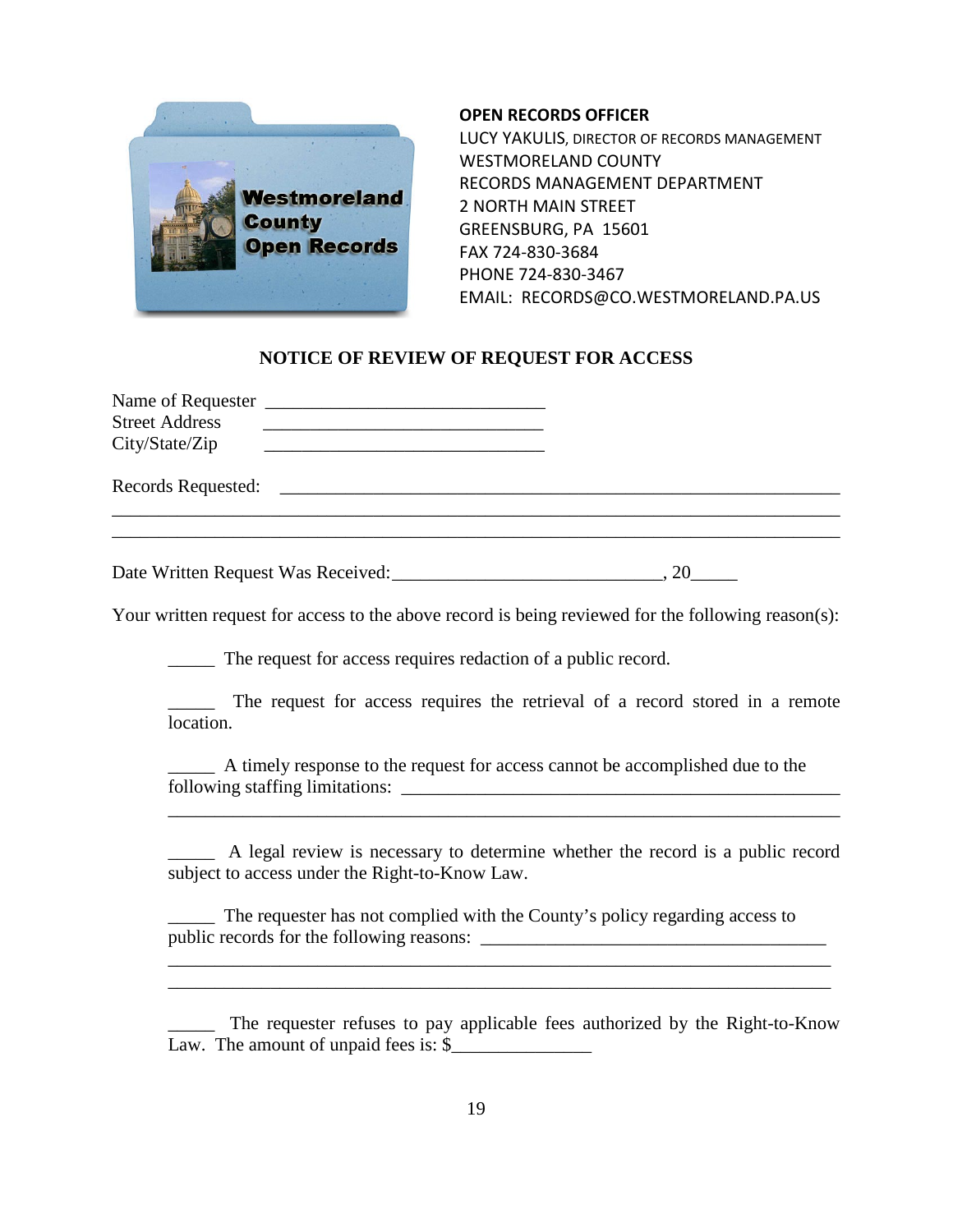

#### **OPEN RECORDS OFFICER**

LUCY YAKULIS, DIRECTOR OF RECORDS MANAGEMENT WESTMORELAND COUNTY RECORDS MANAGEMENT DEPARTMENT 2 NORTH MAIN STREET GREENSBURG, PA 15601 FAX 724-830-3684 PHONE 724-830-3467 EMAIL: RECORDS@CO.WESTMORELAND.PA.US

## **NOTICE OF REVIEW OF REQUEST FOR ACCESS**

| <b>Street Address</b> |  |  |
|-----------------------|--|--|
| City/State/Zip        |  |  |
| Records Requested:    |  |  |
|                       |  |  |
|                       |  |  |
|                       |  |  |

Date Written Request Was Received: \_\_\_\_\_\_\_\_\_\_\_\_\_\_\_\_\_\_\_\_\_\_\_\_\_\_\_\_\_\_\_\_, 20\_\_\_\_\_\_\_\_\_

Your written request for access to the above record is being reviewed for the following reason(s):

\_\_\_\_\_ The request for access requires redaction of a public record.

\_\_\_\_\_ The request for access requires the retrieval of a record stored in a remote location.

\_\_\_\_\_ A timely response to the request for access cannot be accomplished due to the following staffing limitations: \_\_\_\_\_\_\_\_\_\_\_\_\_\_\_\_\_\_\_\_\_\_\_\_\_\_\_\_\_\_\_\_\_\_\_\_\_\_\_\_\_\_\_\_\_\_\_

\_\_\_\_\_ A legal review is necessary to determine whether the record is a public record subject to access under the Right-to-Know Law.

\_\_\_\_\_\_\_\_\_\_\_\_\_\_\_\_\_\_\_\_\_\_\_\_\_\_\_\_\_\_\_\_\_\_\_\_\_\_\_\_\_\_\_\_\_\_\_\_\_\_\_\_\_\_\_\_\_\_\_\_\_\_\_\_\_\_\_\_\_\_\_\_

\_\_\_\_\_ The requester has not complied with the County's policy regarding access to public records for the following reasons: \_\_\_\_\_\_\_\_\_\_\_\_\_\_\_\_\_\_\_\_\_\_\_\_\_\_\_\_\_\_\_\_\_\_\_\_\_

\_\_\_\_\_ The requester refuses to pay applicable fees authorized by the Right-to-Know Law. The amount of unpaid fees is:  $\$ 

\_\_\_\_\_\_\_\_\_\_\_\_\_\_\_\_\_\_\_\_\_\_\_\_\_\_\_\_\_\_\_\_\_\_\_\_\_\_\_\_\_\_\_\_\_\_\_\_\_\_\_\_\_\_\_\_\_\_\_\_\_\_\_\_\_\_\_\_\_\_\_ \_\_\_\_\_\_\_\_\_\_\_\_\_\_\_\_\_\_\_\_\_\_\_\_\_\_\_\_\_\_\_\_\_\_\_\_\_\_\_\_\_\_\_\_\_\_\_\_\_\_\_\_\_\_\_\_\_\_\_\_\_\_\_\_\_\_\_\_\_\_\_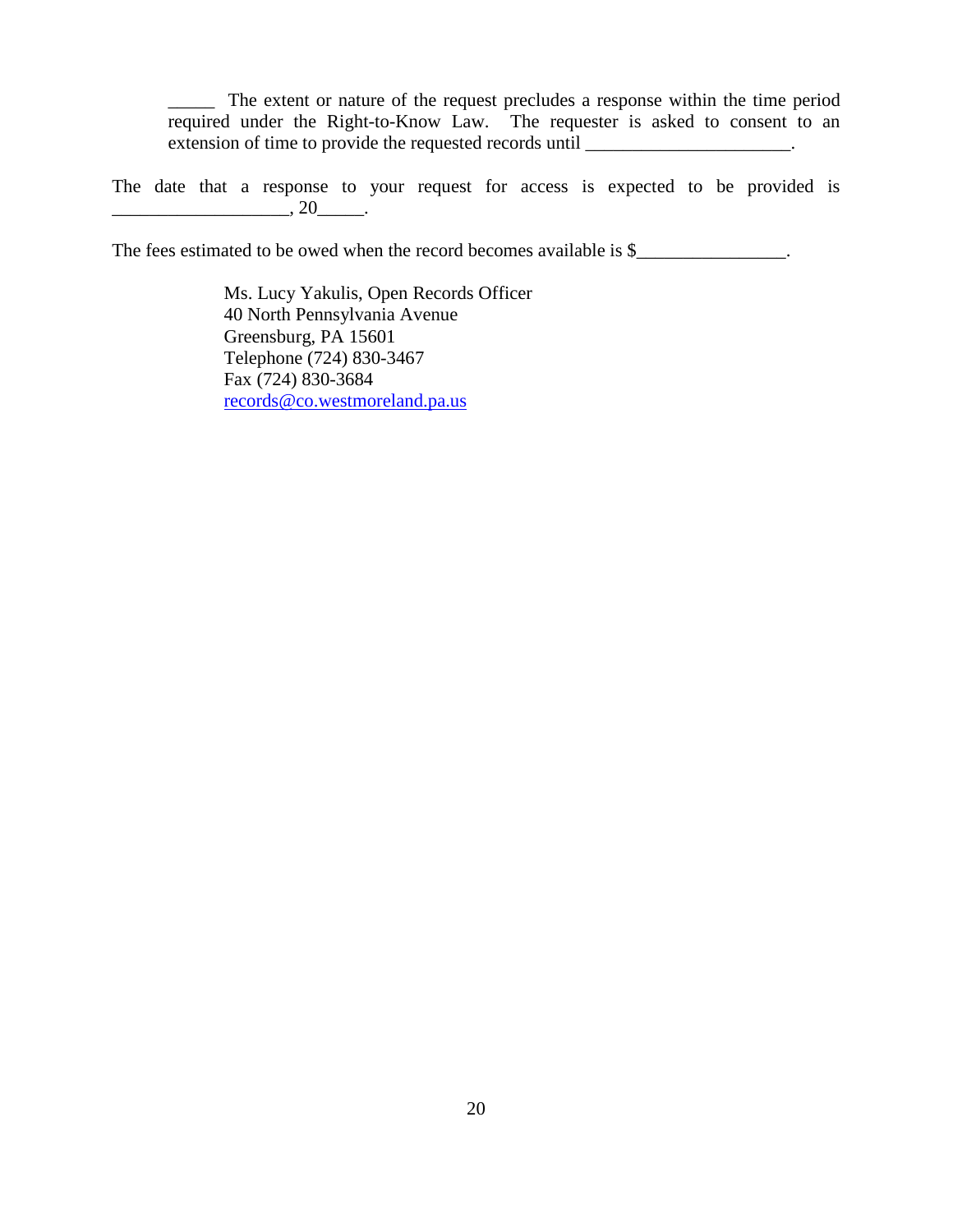\_\_\_\_\_ The extent or nature of the request precludes a response within the time period required under the Right-to-Know Law. The requester is asked to consent to an extension of time to provide the requested records until \_\_\_\_\_\_\_\_\_\_\_\_\_\_\_\_\_\_\_\_\_.

The date that a response to your request for access is expected to be provided is  $, 20$ 

The fees estimated to be owed when the record becomes available is \$\_\_\_\_\_\_\_\_\_\_\_\_\_\_.

Ms. Lucy Yakulis, Open Records Officer 40 North Pennsylvania Avenue Greensburg, PA 15601 Telephone (724) 830-3467 Fax (724) 830-3684 [records@co.westmoreland.pa.us](mailto:records@co.westmoreland.pa.us)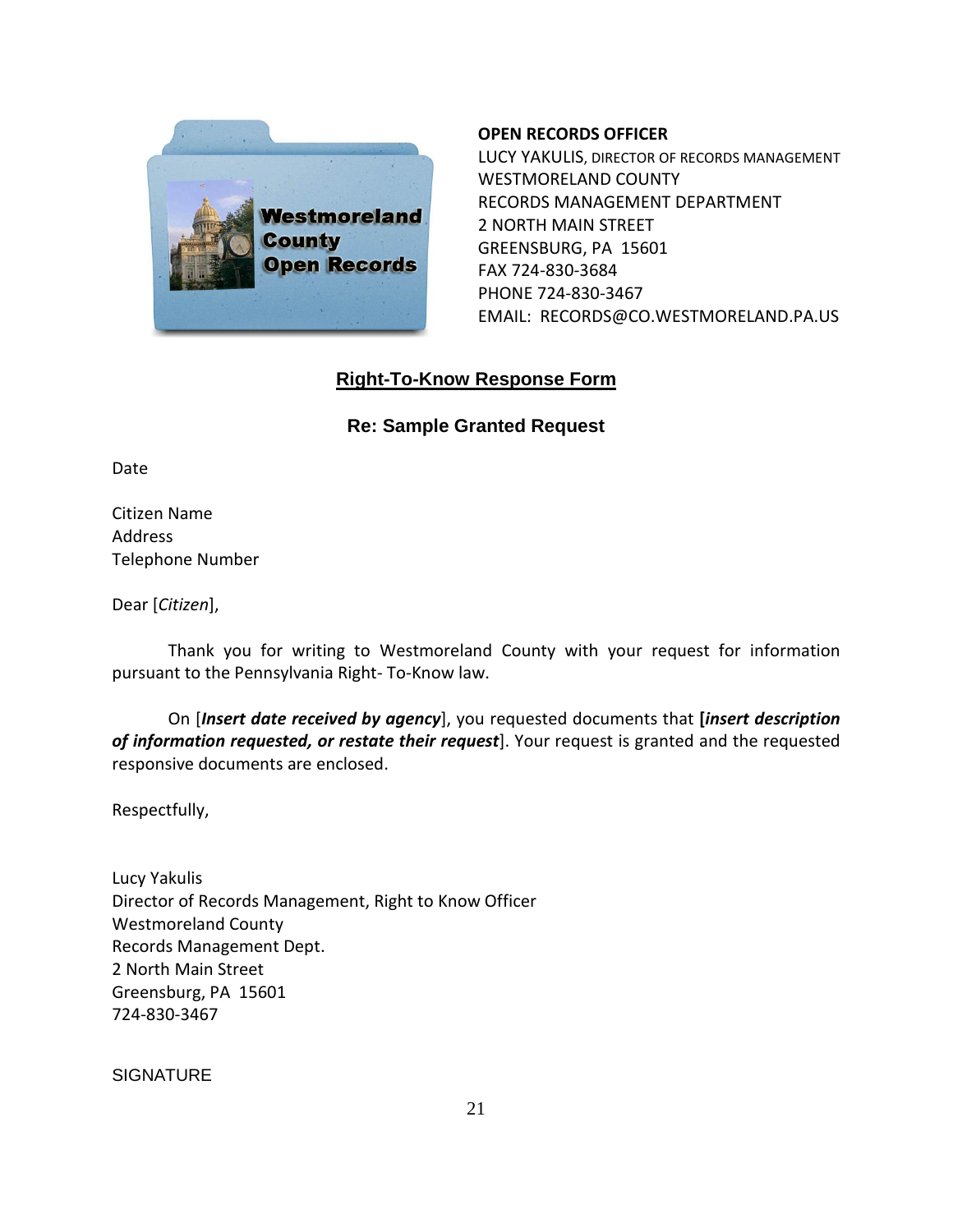

#### **OPEN RECORDS OFFICER**

LUCY YAKULIS, DIRECTOR OF RECORDS MANAGEMENT WESTMORELAND COUNTY RECORDS MANAGEMENT DEPARTMENT 2 NORTH MAIN STREET GREENSBURG, PA 15601 FAX 724-830-3684 PHONE 724-830-3467 EMAIL: RECORDS@CO.WESTMORELAND.PA.US

# **Right-To-Know Response Form**

## **Re: Sample Granted Request**

Date

Citizen Name Address Telephone Number

Dear [*Citizen*],

Thank you for writing to Westmoreland County with your request for information pursuant to the Pennsylvania Right- To-Know law.

On [*Insert date received by agency*], you requested documents that **[***insert description of information requested, or restate their request*]. Your request is granted and the requested responsive documents are enclosed.

Respectfully,

Lucy Yakulis Director of Records Management, Right to Know Officer Westmoreland County Records Management Dept. 2 North Main Street Greensburg, PA 15601 724-830-3467

**SIGNATURE**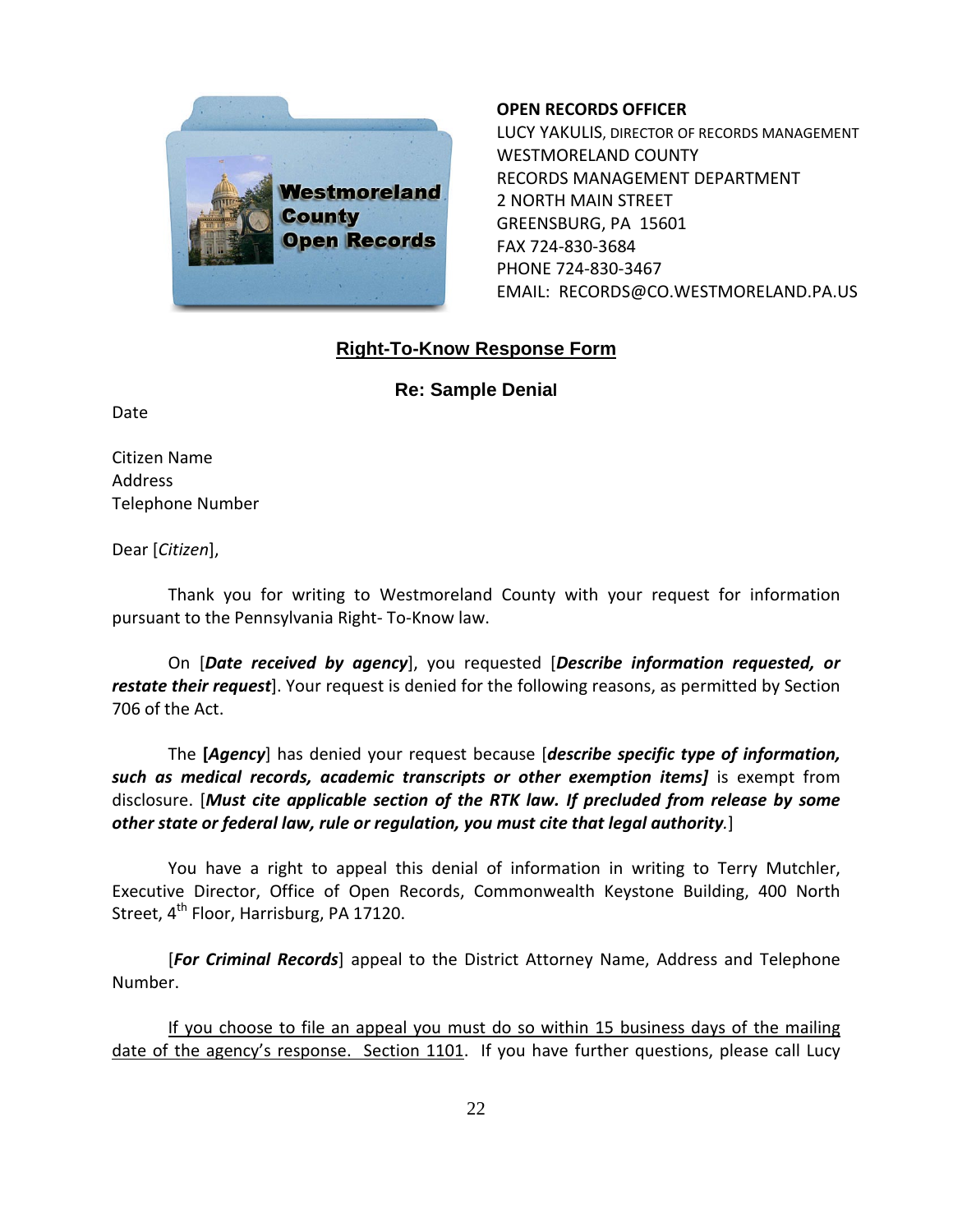

#### **OPEN RECORDS OFFICER**

LUCY YAKULIS, DIRECTOR OF RECORDS MANAGEMENT WESTMORELAND COUNTY RECORDS MANAGEMENT DEPARTMENT 2 NORTH MAIN STREET GREENSBURG, PA 15601 FAX 724-830-3684 PHONE 724-830-3467 EMAIL: RECORDS@CO.WESTMORELAND.PA.US

# **Right-To-Know Response Form**

**Re: Sample Denial**

Date

Citizen Name Address Telephone Number

Dear [*Citizen*],

Thank you for writing to Westmoreland County with your request for information pursuant to the Pennsylvania Right- To-Know law.

On [*Date received by agency*], you requested [*Describe information requested, or restate their request*]. Your request is denied for the following reasons, as permitted by Section 706 of the Act.

The **[***Agency*] has denied your request because [*describe specific type of information, such as medical records, academic transcripts or other exemption items]* is exempt from disclosure. [*Must cite applicable section of the RTK law. If precluded from release by some other state or federal law, rule or regulation, you must cite that legal authority.*]

You have a right to appeal this denial of information in writing to Terry Mutchler, Executive Director, Office of Open Records, Commonwealth Keystone Building, 400 North Street,  $4^{th}$  Floor, Harrisburg, PA 17120.

[*For Criminal Records*] appeal to the District Attorney Name, Address and Telephone Number.

If you choose to file an appeal you must do so within 15 business days of the mailing date of the agency's response. Section 1101. If you have further questions, please call Lucy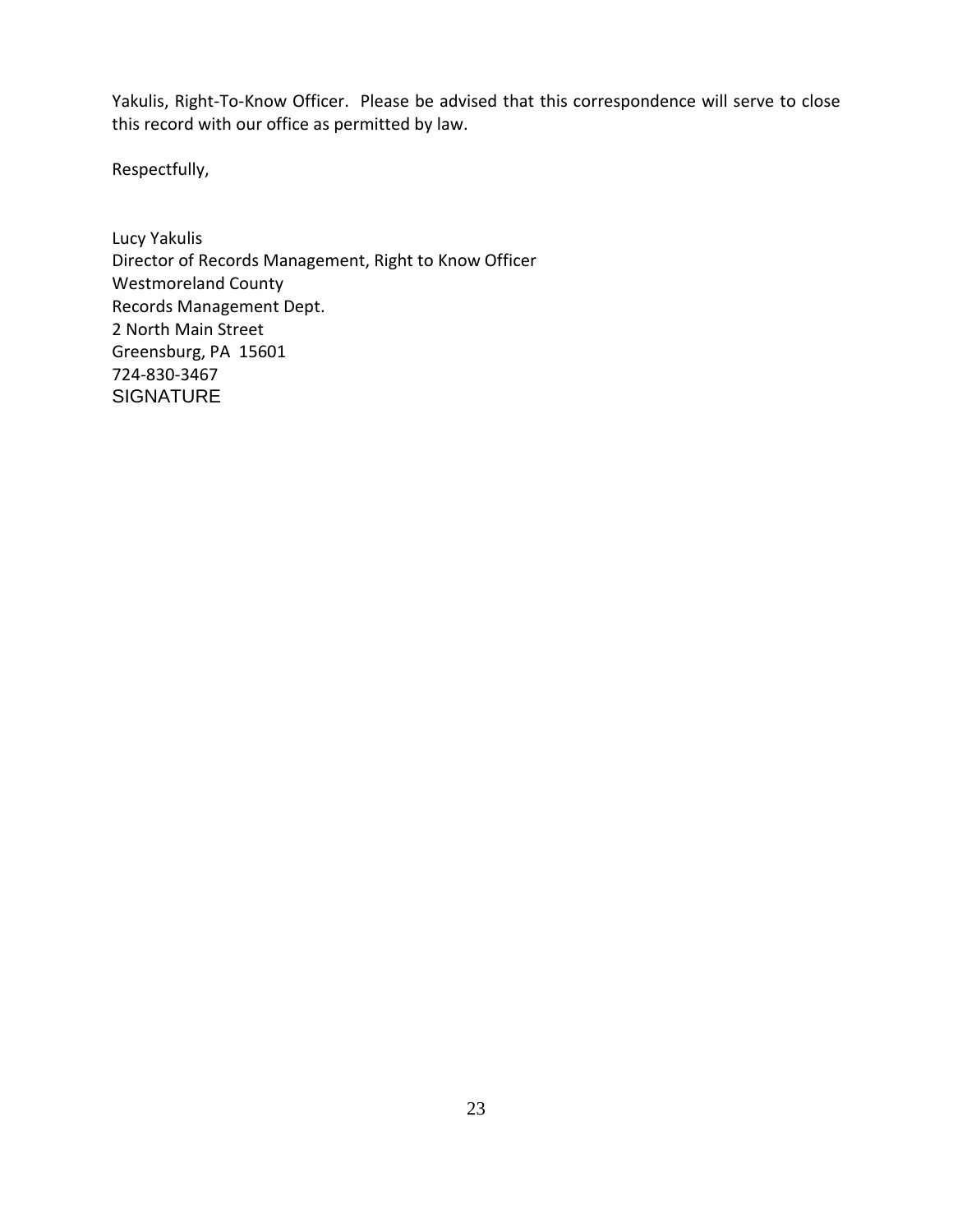Yakulis, Right-To-Know Officer. Please be advised that this correspondence will serve to close this record with our office as permitted by law.

Respectfully,

Lucy Yakulis Director of Records Management, Right to Know Officer Westmoreland County Records Management Dept. 2 North Main Street Greensburg, PA 15601 724-830-3467 **SIGNATURE**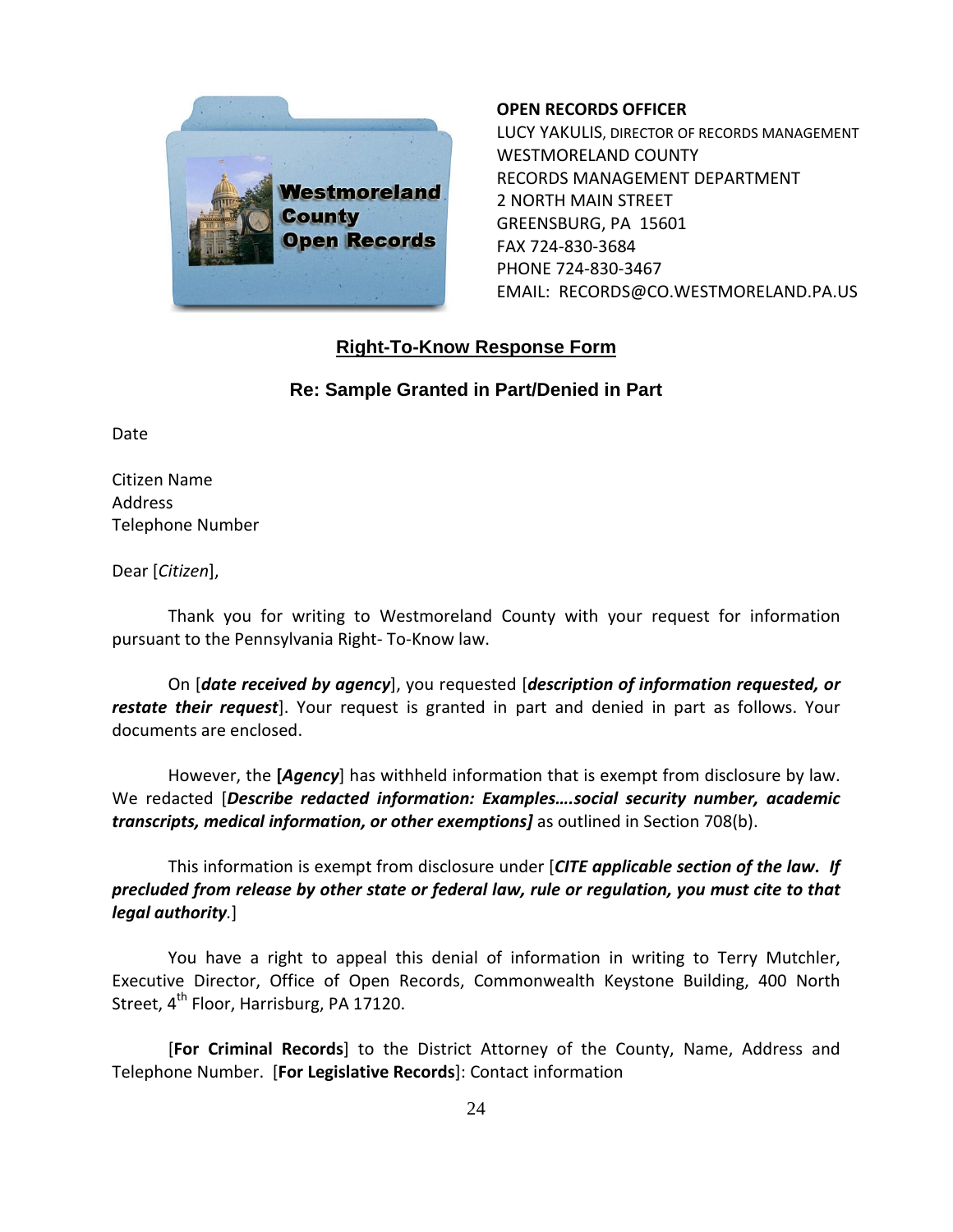

#### **OPEN RECORDS OFFICER**

LUCY YAKULIS, DIRECTOR OF RECORDS MANAGEMENT WESTMORELAND COUNTY RECORDS MANAGEMENT DEPARTMENT 2 NORTH MAIN STREET GREENSBURG, PA 15601 FAX 724-830-3684 PHONE 724-830-3467 EMAIL: RECORDS@CO.WESTMORELAND.PA.US

# **Right-To-Know Response Form**

# **Re: Sample Granted in Part/Denied in Part**

Date

Citizen Name Address Telephone Number

Dear [*Citizen*],

Thank you for writing to Westmoreland County with your request for information pursuant to the Pennsylvania Right- To-Know law.

On [*date received by agency*], you requested [*description of information requested, or restate their request*]. Your request is granted in part and denied in part as follows. Your documents are enclosed.

However, the **[***Agency*] has withheld information that is exempt from disclosure by law. We redacted [*Describe redacted information: Examples….social security number, academic transcripts, medical information, or other exemptions]* as outlined in Section 708(b).

This information is exempt from disclosure under [*CITE applicable section of the law. If precluded from release by other state or federal law, rule or regulation, you must cite to that legal authority.*]

You have a right to appeal this denial of information in writing to Terry Mutchler, Executive Director, Office of Open Records, Commonwealth Keystone Building, 400 North Street,  $4^{th}$  Floor, Harrisburg, PA 17120.

[**For Criminal Records**] to the District Attorney of the County, Name, Address and Telephone Number. [**For Legislative Records**]: Contact information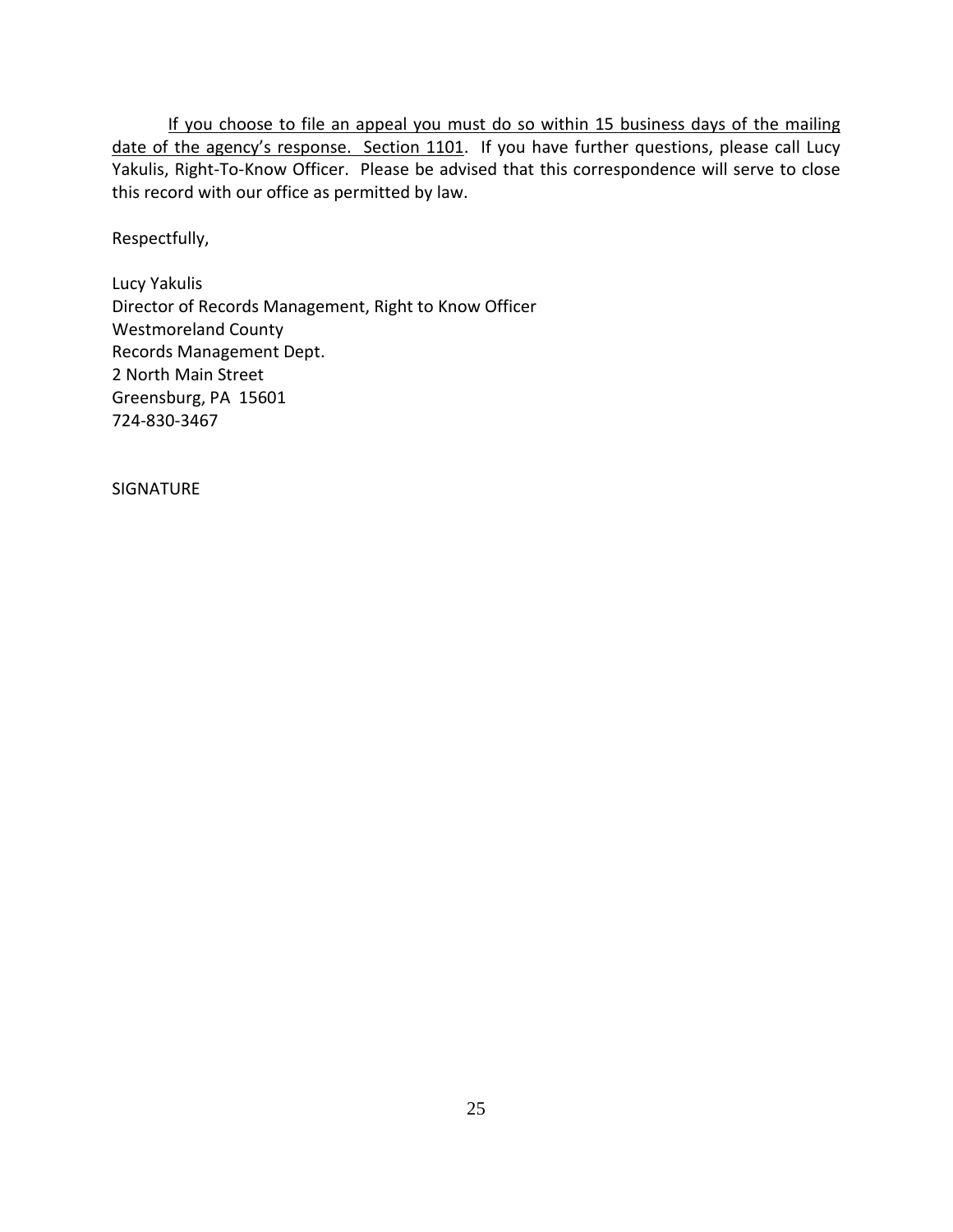If you choose to file an appeal you must do so within 15 business days of the mailing date of the agency's response. Section 1101. If you have further questions, please call Lucy Yakulis, Right-To-Know Officer. Please be advised that this correspondence will serve to close this record with our office as permitted by law.

Respectfully,

Lucy Yakulis Director of Records Management, Right to Know Officer Westmoreland County Records Management Dept. 2 North Main Street Greensburg, PA 15601 724-830-3467

SIGNATURE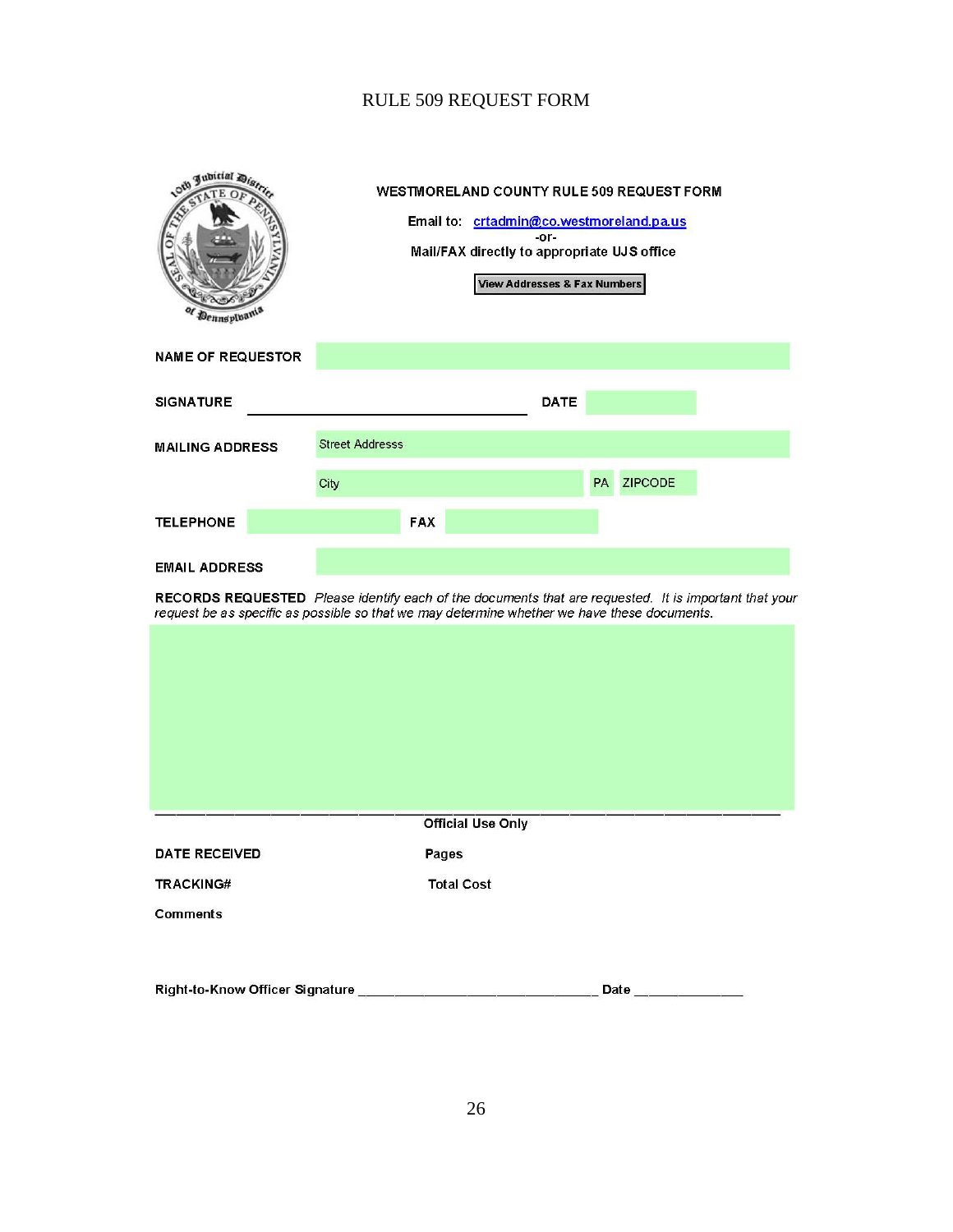# RULE 509 REQUEST FORM

| oth Jubitial Dis,<br><b>Oennspluan</b>                                                                                                                                                                                        |                        | Mail/FAX directly to appropriate UJS office | <b>View Addresses &amp; Fax Numbers</b> | $-0r-$ |           | <b>WESTMORELAND COUNTY RULE 509 REQUEST FORM</b><br>Email to: crtadmin@co.westmoreland.pa.us |  |
|-------------------------------------------------------------------------------------------------------------------------------------------------------------------------------------------------------------------------------|------------------------|---------------------------------------------|-----------------------------------------|--------|-----------|----------------------------------------------------------------------------------------------|--|
| <b>NAME OF REQUESTOR</b>                                                                                                                                                                                                      |                        |                                             |                                         |        |           |                                                                                              |  |
| <b>SIGNATURE</b>                                                                                                                                                                                                              |                        |                                             |                                         | DATE   |           |                                                                                              |  |
| <b>MAILING ADDRESS</b>                                                                                                                                                                                                        | <b>Street Addresss</b> |                                             |                                         |        |           |                                                                                              |  |
|                                                                                                                                                                                                                               | City                   |                                             |                                         |        | <b>PA</b> | <b>ZIPCODE</b>                                                                               |  |
| <b>TELEPHONE</b>                                                                                                                                                                                                              |                        | <b>FAX</b>                                  |                                         |        |           |                                                                                              |  |
| <b>EMAIL ADDRESS</b><br>RECORDS REQUESTED Please identify each of the documents that are requested. It is important that your<br>request be as specific as possible so that we may determine whether we have these documents. |                        |                                             |                                         |        |           |                                                                                              |  |
|                                                                                                                                                                                                                               |                        |                                             |                                         |        |           |                                                                                              |  |
|                                                                                                                                                                                                                               |                        |                                             |                                         |        |           |                                                                                              |  |
|                                                                                                                                                                                                                               |                        |                                             |                                         |        |           |                                                                                              |  |
|                                                                                                                                                                                                                               |                        |                                             |                                         |        |           |                                                                                              |  |
|                                                                                                                                                                                                                               |                        |                                             |                                         |        |           |                                                                                              |  |
|                                                                                                                                                                                                                               |                        |                                             | <b>Official Use Only</b>                |        |           |                                                                                              |  |
| <b>DATE RECEIVED</b>                                                                                                                                                                                                          |                        | Pages                                       |                                         |        |           |                                                                                              |  |
| <b>TRACKING#</b>                                                                                                                                                                                                              |                        | <b>Total Cost</b>                           |                                         |        |           |                                                                                              |  |
| <b>Comments</b>                                                                                                                                                                                                               |                        |                                             |                                         |        |           |                                                                                              |  |
|                                                                                                                                                                                                                               |                        |                                             |                                         |        |           | Date ___________                                                                             |  |